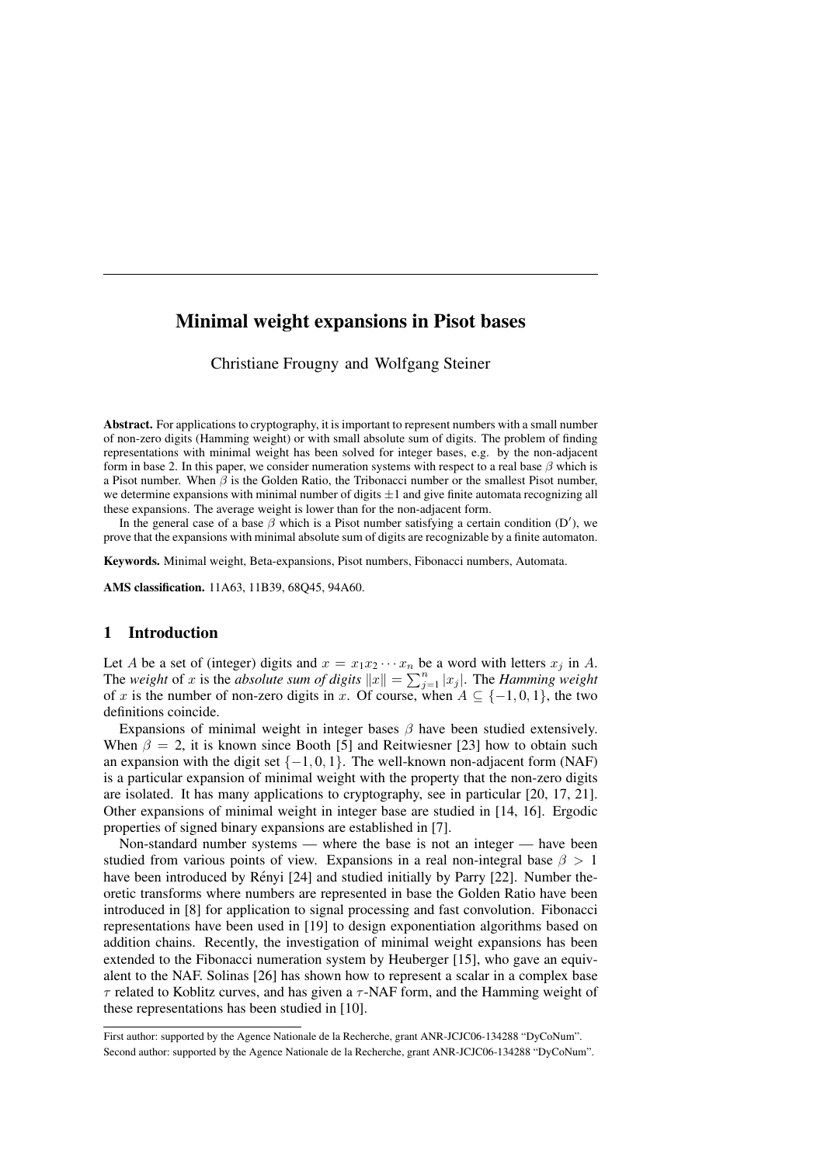# Minimal weight expansions in Pisot bases

Christiane Frougny and Wolfgang Steiner

Abstract. For applications to cryptography, it is important to represent numbers with a small number of non-zero digits (Hamming weight) or with small absolute sum of digits. The problem of finding representations with minimal weight has been solved for integer bases, e.g. by the non-adjacent form in base 2. In this paper, we consider numeration systems with respect to a real base  $\beta$  which is a Pisot number. When  $\beta$  is the Golden Ratio, the Tribonacci number or the smallest Pisot number, we determine expansions with minimal number of digits  $\pm 1$  and give finite automata recognizing all these expansions. The average weight is lower than for the non-adjacent form.

In the general case of a base  $\beta$  which is a Pisot number satisfying a certain condition (D'), we prove that the expansions with minimal absolute sum of digits are recognizable by a finite automaton.

Keywords. Minimal weight, Beta-expansions, Pisot numbers, Fibonacci numbers, Automata.

AMS classification. 11A63, 11B39, 68Q45, 94A60.

# 1 Introduction

Let A be a set of (integer) digits and  $x = x_1x_2 \cdots x_n$  be a word with letters  $x_j$  in A. The *weight* of x is the *absolute sum of digits*  $||x|| = \sum_{j=1}^{n} |x_j|$ . The *Hamming weight* of x is the number of non-zero digits in x. Of course, when  $A \subseteq \{-1,0,1\}$ , the two definitions coincide.

Expansions of minimal weight in integer bases  $\beta$  have been studied extensively. When  $\beta = 2$ , it is known since Booth [5] and Reitwiesner [23] how to obtain such an expansion with the digit set  $\{-1, 0, 1\}$ . The well-known non-adjacent form (NAF) is a particular expansion of minimal weight with the property that the non-zero digits are isolated. It has many applications to cryptography, see in particular [20, 17, 21]. Other expansions of minimal weight in integer base are studied in [14, 16]. Ergodic properties of signed binary expansions are established in [7].

Non-standard number systems — where the base is not an integer — have been studied from various points of view. Expansions in a real non-integral base  $\beta > 1$ have been introduced by Rényi  $[24]$  and studied initially by Parry  $[22]$ . Number theoretic transforms where numbers are represented in base the Golden Ratio have been introduced in [8] for application to signal processing and fast convolution. Fibonacci representations have been used in [19] to design exponentiation algorithms based on addition chains. Recently, the investigation of minimal weight expansions has been extended to the Fibonacci numeration system by Heuberger [15], who gave an equivalent to the NAF. Solinas [26] has shown how to represent a scalar in a complex base  $\tau$  related to Koblitz curves, and has given a  $\tau$ -NAF form, and the Hamming weight of these representations has been studied in [10].

First author: supported by the Agence Nationale de la Recherche, grant ANR-JCJC06-134288 "DyCoNum". Second author: supported by the Agence Nationale de la Recherche, grant ANR-JCJC06-134288 "DyCoNum".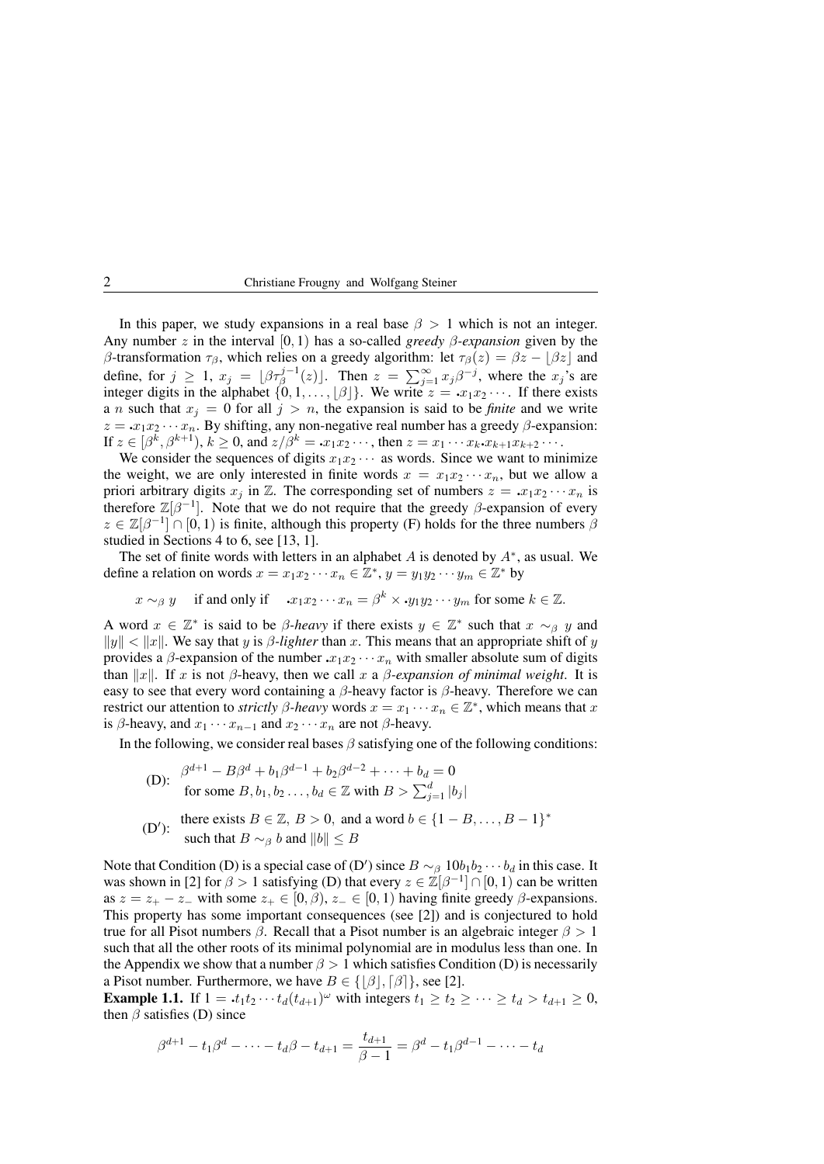In this paper, we study expansions in a real base  $\beta > 1$  which is not an integer. Any number z in the interval [0, 1) has a so-called *greedy* β*-expansion* given by the β-transformation  $τ_{β}$ , which relies on a greedy algorithm: let  $τ_{β}(z) = βz - |βz|$  and define, for  $j \geq 1$ ,  $x_j = \lfloor \beta \tau_{\beta}^{j-1}(z) \rfloor$ . Then  $z = \sum_{j=1}^{\infty} x_j \beta^{-j}$ , where the  $x_j$ 's are integer digits in the alphabet  $\{0, 1, \ldots, \lfloor \beta \rfloor\}$ . We write  $z = x_1 x_2 \cdots$ . If there exists a *n* such that  $x_j = 0$  for all  $j > n$ , the expansion is said to be *finite* and we write  $z = x_1x_2 \cdots x_n$ . By shifting, any non-negative real number has a greedy  $\beta$ -expansion: If  $z \in [\beta^k, \beta^{k+1}), k \ge 0$ , and  $z/\beta^k = x_1x_2\cdots$ , then  $z = x_1\cdots x_k \cdot x_{k+1}x_{k+2}\cdots$ .

We consider the sequences of digits  $x_1x_2 \cdots$  as words. Since we want to minimize the weight, we are only interested in finite words  $x = x_1x_2 \cdots x_n$ , but we allow a priori arbitrary digits  $x_i$  in Z. The corresponding set of numbers  $z = x_1x_2 \cdots x_n$  is therefore  $\mathbb{Z}[\beta^{-1}]$ . Note that we do not require that the greedy  $\beta$ -expansion of every  $z \in \mathbb{Z}[\beta^{-1}] \cap [0,1)$  is finite, although this property (F) holds for the three numbers  $\beta$ studied in Sections 4 to 6, see [13, 1].

The set of finite words with letters in an alphabet  $A$  is denoted by  $A^*$ , as usual. We define a relation on words  $x = x_1 x_2 \cdots x_n \in \mathbb{Z}^*, y = y_1 y_2 \cdots y_m \in \mathbb{Z}^*$  by

$$
x \sim_{\beta} y
$$
 if and only if  $x_1x_2 \cdots x_n = \beta^k \times y_1y_2 \cdots y_m$  for some  $k \in \mathbb{Z}$ .

A word  $x \in \mathbb{Z}^*$  is said to be  $\beta$ -heavy if there exists  $y \in \mathbb{Z}^*$  such that  $x \sim_\beta y$  and  $||y|| < ||x||$ . We say that y is *β-lighter* than x. This means that an appropriate shift of y provides a  $\beta$ -expansion of the number  $x_1x_2 \cdots x_n$  with smaller absolute sum of digits than  $||x||$ . If x is not β-heavy, then we call x a  $\beta$ -expansion of minimal weight. It is easy to see that every word containing a  $\beta$ -heavy factor is  $\beta$ -heavy. Therefore we can restrict our attention to *strictly*  $\beta$ -heavy words  $x = x_1 \cdots x_n \in \mathbb{Z}^*$ , which means that x is  $\beta$ -heavy, and  $x_1 \cdots x_{n-1}$  and  $x_2 \cdots x_n$  are not  $\beta$ -heavy.

In the following, we consider real bases  $\beta$  satisfying one of the following conditions:

(D): 
$$
\beta^{d+1} - B\beta^d + b_1\beta^{d-1} + b_2\beta^{d-2} + \dots + b_d = 0
$$
  
for some  $B, b_1, b_2, \dots, b_d \in \mathbb{Z}$  with  $B > \sum_{j=1}^d |b_j|$ 

(D'): there exists 
$$
B \in \mathbb{Z}
$$
,  $B > 0$ , and a word  $b \in \{1 - B, \ldots, B - 1\}^*$   
such that  $B \sim_\beta b$  and  $||b|| \leq B$ 

Note that Condition (D) is a special case of (D') since  $B \sim_{\beta} 10b_1b_2 \cdots b_d$  in this case. It was shown in [2] for  $\beta > 1$  satisfying (D) that every  $z \in \mathbb{Z}[\beta^{-1}] \cap [0,1)$  can be written as  $z = z_+ - z_-$  with some  $z_+ \in [0, \beta), z_- \in [0, 1)$  having finite greedy  $\beta$ -expansions. This property has some important consequences (see [2]) and is conjectured to hold true for all Pisot numbers β. Recall that a Pisot number is an algebraic integer  $β > 1$ such that all the other roots of its minimal polynomial are in modulus less than one. In the Appendix we show that a number  $\beta > 1$  which satisfies Condition (D) is necessarily a Pisot number. Furthermore, we have  $B \in \{ |\beta|, [\beta] \}$ , see [2].

**Example 1.1.** If  $1 = \mathbf{1} \cdot t_1 t_2 \cdots t_d (t_{d+1})^\omega$  with integers  $t_1 \geq t_2 \geq \cdots \geq t_d > t_{d+1} \geq 0$ , then  $\beta$  satisfies (D) since

$$
\beta^{d+1} - t_1 \beta^d - \dots - t_d \beta - t_{d+1} = \frac{t_{d+1}}{\beta - 1} = \beta^d - t_1 \beta^{d-1} - \dots - t_d
$$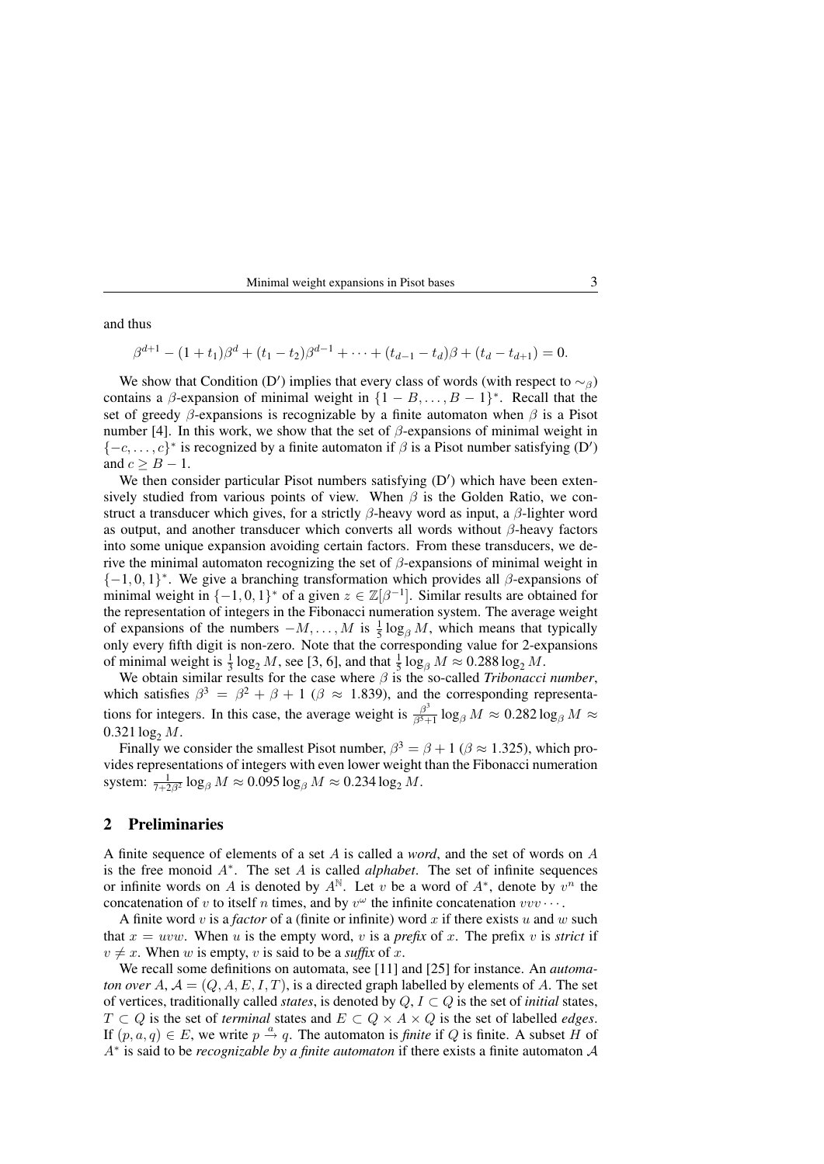Minimal weight expansions in Pisot bases 3

and thus

$$
\beta^{d+1} - (1+t_1)\beta^d + (t_1-t_2)\beta^{d-1} + \cdots + (t_{d-1}-t_d)\beta + (t_d-t_{d+1}) = 0.
$$

We show that Condition (D') implies that every class of words (with respect to  $\sim_{\beta}$ ) contains a  $\beta$ -expansion of minimal weight in  $\{1 - B, \ldots, B - 1\}^*$ . Recall that the set of greedy  $\beta$ -expansions is recognizable by a finite automaton when  $\beta$  is a Pisot number [4]. In this work, we show that the set of  $\beta$ -expansions of minimal weight in  $\{-c, \ldots, c\}^*$  is recognized by a finite automaton if  $\beta$  is a Pisot number satisfying (D') and  $c > B - 1$ .

We then consider particular Pisot numbers satisfying  $(D')$  which have been extensively studied from various points of view. When  $\beta$  is the Golden Ratio, we construct a transducer which gives, for a strictly  $\beta$ -heavy word as input, a  $\beta$ -lighter word as output, and another transducer which converts all words without  $\beta$ -heavy factors into some unique expansion avoiding certain factors. From these transducers, we derive the minimal automaton recognizing the set of  $\beta$ -expansions of minimal weight in  $\{-1,0,1\}^*$ . We give a branching transformation which provides all  $\beta$ -expansions of minimal weight in  $\{-1,0,1\}^*$  of a given  $z \in \mathbb{Z}[\beta^{-1}]$ . Similar results are obtained for the representation of integers in the Fibonacci numeration system. The average weight of expansions of the numbers  $-M, \ldots, M$  is  $\frac{1}{5} \log_{\beta} M$ , which means that typically only every fifth digit is non-zero. Note that the corresponding value for 2-expansions of minimal weight is  $\frac{1}{3} \log_2 M$ , see [3, 6], and that  $\frac{1}{5} \log_\beta M \approx 0.288 \log_2 M$ .

We obtain similar results for the case where  $\beta$  is the so-called *Tribonacci number*, which satisfies  $\beta^3 = \beta^2 + \beta + 1$  ( $\beta \approx 1.839$ ), and the corresponding representations for integers. In this case, the average weight is  $\frac{\beta^3}{\beta^5}$  $\frac{\beta^5}{\beta^5+1} \log_\beta M \approx 0.282 \log_\beta M \approx$  $0.321 \log_2 M$ .

Finally we consider the smallest Pisot number,  $\beta^3 = \beta + 1$  ( $\beta \approx 1.325$ ), which provides representations of integers with even lower weight than the Fibonacci numeration system:  $\frac{1}{7+2\beta^2}\log_\beta M \approx 0.095\log_\beta M \approx 0.234\log_2 M$ .

# 2 Preliminaries

A finite sequence of elements of a set A is called a *word*, and the set of words on A is the free monoid A<sup>∗</sup> . The set A is called *alphabet*. The set of infinite sequences or infinite words on A is denoted by  $A^{\mathbb{N}}$ . Let v be a word of  $A^*$ , denote by  $v^n$  the concatenation of v to itself n times, and by  $v^{\omega}$  the infinite concatenation  $vvv \cdots$ .

A finite word v is a *factor* of a (finite or infinite) word x if there exists u and w such that  $x = uvw$ . When u is the empty word, v is a *prefix* of x. The prefix v is *strict* if  $v \neq x$ . When w is empty, v is said to be a *suffix* of x.

We recall some definitions on automata, see [11] and [25] for instance. An *automaton over*  $A, A = (Q, A, E, I, T)$ , is a directed graph labelled by elements of A. The set of vertices, traditionally called *states*, is denoted by  $Q, I \subset Q$  is the set of *initial* states,  $T ⊂ Q$  is the set of *terminal* states and  $E ⊂ Q × A × Q$  is the set of labelled *edges*. If  $(p, a, q) \in E$ , we write  $p \stackrel{a}{\rightarrow} q$ . The automaton is *finite* if Q is finite. A subset H of A<sup>∗</sup> is said to be *recognizable by a finite automaton* if there exists a finite automaton A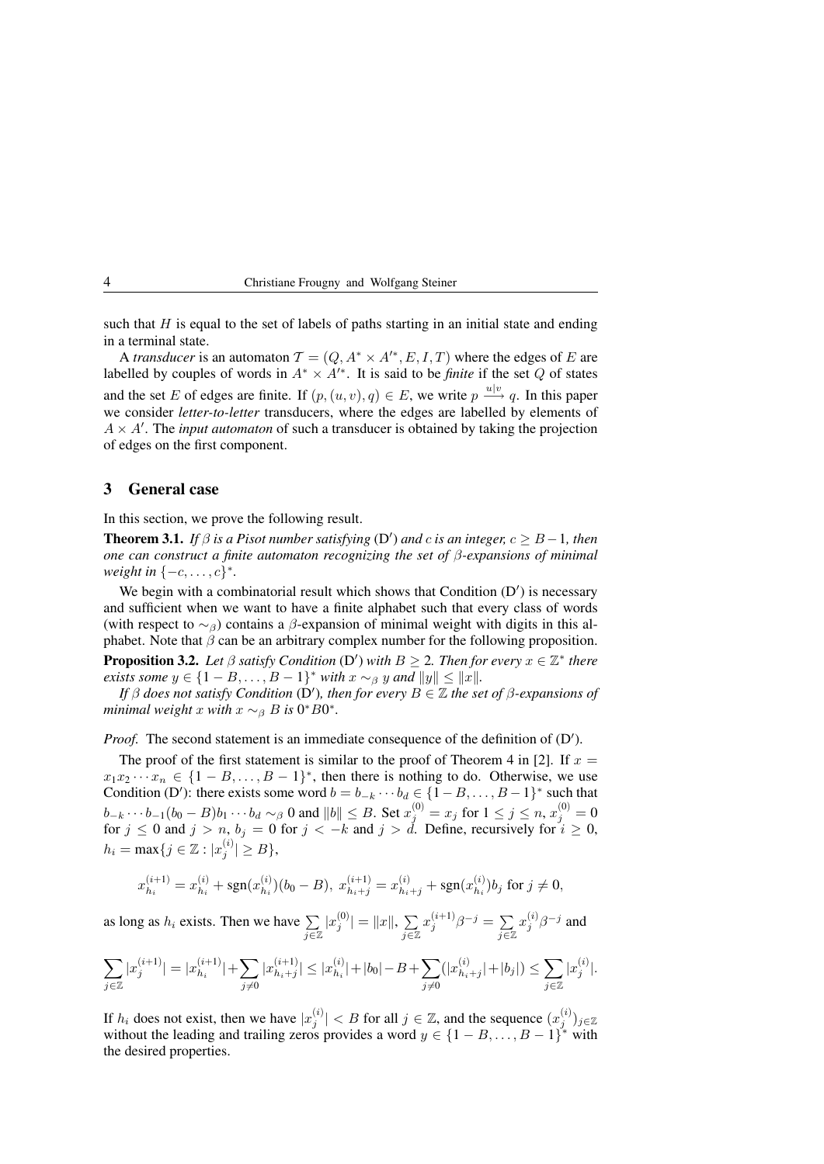such that  $H$  is equal to the set of labels of paths starting in an initial state and ending in a terminal state.

A *transducer* is an automaton  $\mathcal{T} = (Q, A^* \times A'^*, E, I, T)$  where the edges of E are labelled by couples of words in  $A^* \times A'^*$ . It is said to be *finite* if the set Q of states and the set E of edges are finite. If  $(p,(u,v), q) \in E$ , we write  $p \stackrel{u|v}{\longrightarrow} q$ . In this paper we consider *letter-to-letter* transducers, where the edges are labelled by elements of  $A \times A'$ . The *input automaton* of such a transducer is obtained by taking the projection of edges on the first component.

#### 3 General case

In this section, we prove the following result.

**Theorem 3.1.** *If*  $\beta$  *is a Pisot number satisfying* (D') *and c is an integer,*  $c \geq B - 1$ *, then one can construct a finite automaton recognizing the set of* β*-expansions of minimal weight in*  $\{-c, ..., c\}^*$ *.* 

We begin with a combinatorial result which shows that Condition  $(D')$  is necessary and sufficient when we want to have a finite alphabet such that every class of words (with respect to  $\sim_\beta$ ) contains a  $\beta$ -expansion of minimal weight with digits in this alphabet. Note that  $\beta$  can be an arbitrary complex number for the following proposition. **Proposition 3.2.** Let  $\beta$  satisfy Condition (D') with  $B \ge 2$ . Then for every  $x \in \mathbb{Z}^*$  there *exists some*  $y \in \{1 - B, \ldots, B - 1\}^*$  *with*  $x \sim_\beta y$  *and*  $||y|| \le ||x||$ *.* 

*If*  $\beta$  *does not satisfy Condition* (D'), then for every  $B \in \mathbb{Z}$  the set of  $\beta$ -expansions of *minimal weight* x *with*  $x \sim_\beta B$  *is* 0<sup>\*</sup>  $B0^*$ .

Proof. The second statement is an immediate consequence of the definition of (D').

The proof of the first statement is similar to the proof of Theorem 4 in [2]. If  $x =$  $x_1x_2 \cdots x_n \in \{1 - B, \ldots, B - 1\}^*$ , then there is nothing to do. Otherwise, we use Condition (D'): there exists some word  $b = b_{-k} \cdots b_d \in \{1 - B, \ldots, B - 1\}^*$  such that  $b_{-k}\cdots b_{-1}(b_0-B)b_1\cdots b_d\sim_\beta 0$  and  $\|b\|\leq B.$  Set  $x_j^{(0)}=x_j$  for  $1\leq j\leq n,$   $x_j^{(0)}=0$ for  $j \le 0$  and  $j > n$ ,  $b_j = 0$  for  $j < -k$  and  $j > d$ . Define, recursively for  $i \ge 0$ ,  $h_i = \max\{j \in \mathbb{Z} : |x_j^{(i)}| \ge B\},\$ 

$$
x_{h_i}^{(i+1)} = x_{h_i}^{(i)} + \text{sgn}(x_{h_i}^{(i)}) (b_0 - B), \ x_{h_i + j}^{(i+1)} = x_{h_i + j}^{(i)} + \text{sgn}(x_{h_i}^{(i)}) b_j \text{ for } j \neq 0,
$$

as long as  $h_i$  exists. Then we have  $\sum_{j \in \mathbb{Z}}$  $|x_j^{(0)}| = ||x||, \sum_{j=1}^{N}$ j∈Z  $x_j^{(i+1)}\beta^{-j} = \sum$ j∈Z  $x_j^{(i)}\beta^{-j}$  and

$$
\sum_{j\in\mathbb{Z}}|x_j^{(i+1)}|=|x_{h_i}^{(i+1)}|+\sum_{j\neq 0}|x_{h_i+j}^{(i+1)}|\leq |x_{h_i}^{(i)}|+|b_0|-B+\sum_{j\neq 0}(|x_{h_i+j}^{(i)}|+|b_j|)\leq \sum_{j\in\mathbb{Z}}|x_j^{(i)}|.
$$

If  $h_i$  does not exist, then we have  $|x_j^{(i)}| < B$  for all  $j \in \mathbb{Z}$ , and the sequence  $(x_j^{(i)})_{j \in \mathbb{Z}}$ without the leading and trailing zeros provides a word  $y \in \{1 - B, \ldots, B - 1\}^*$  with the desired properties.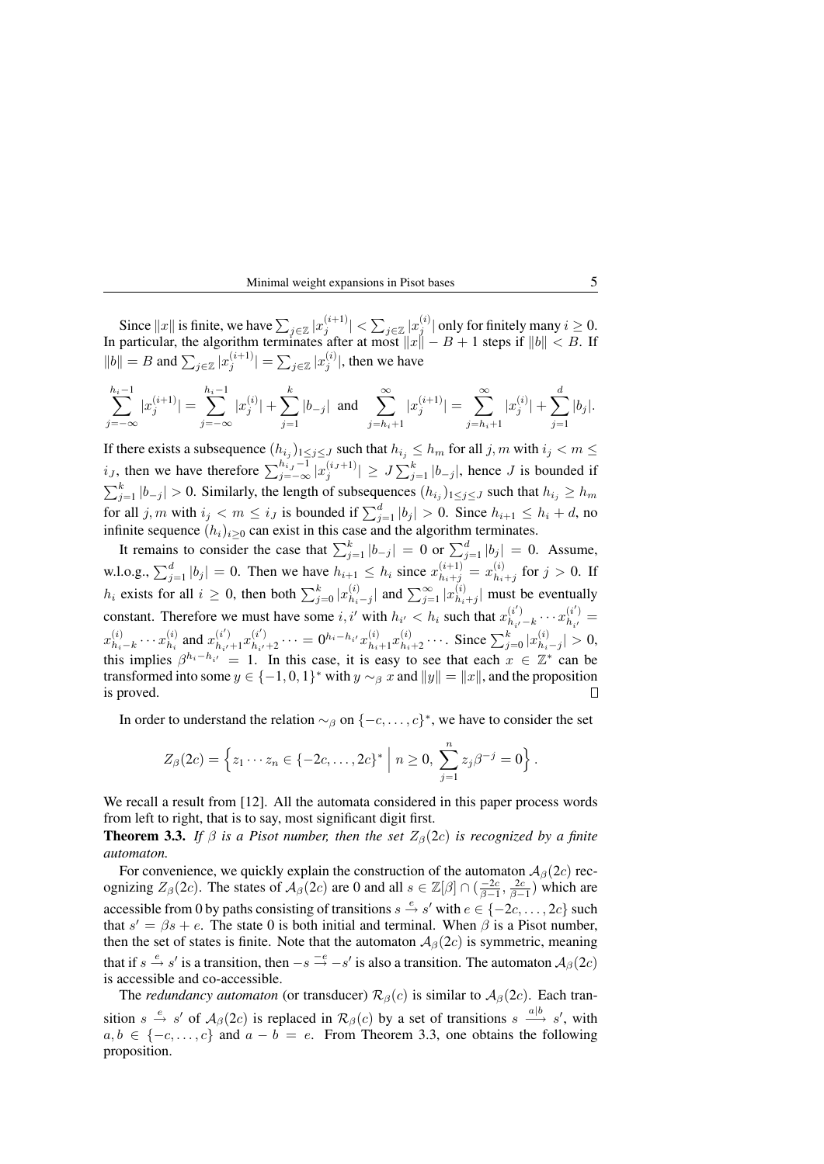#### Minimal weight expansions in Pisot bases 5

Since  $||x||$  is finite, we have  $\sum_{j\in\mathbb{Z}}|x_j^{(i+1)}|<\sum_{j\in\mathbb{Z}}|x_j^{(i)}|$  only for finitely many  $i\geq 0$ . In particular, the algorithm terminates after at most  $||x|| - B + 1$  steps if  $||b|| < B$ . If  $||b|| = B$  and  $\sum_{j \in \mathbb{Z}} |x_j^{(i+1)}| = \sum_{j \in \mathbb{Z}} |x_j^{(i)}|$ , then we have

$$
\sum_{j=-\infty}^{h_i-1}|x_j^{(i+1)}|=\sum_{j=-\infty}^{h_i-1}|x_j^{(i)}|+\sum_{j=1}^{k}|b_{-j}|\text{ and }\sum_{j=h_i+1}^{\infty}|x_j^{(i+1)}|=\sum_{j=h_i+1}^{\infty}|x_j^{(i)}|+\sum_{j=1}^{d}|b_j|.
$$

If there exists a subsequence  $(h_{i_j})_{1 \leq j \leq J}$  such that  $h_{i_j} \leq h_m$  for all  $j, m$  with  $i_j < m \leq J$  $i_J$ , then we have therefore  $\sum_{j=-\infty}^{h_{i_J}-1} |x_j^{(i_J+1)}| \geq J \sum_{j=1}^k |b_{-j}|$ , hence J is bounded if  $\sum_{j=1}^{k} |b_{-j}| > 0$ . Similarly, the length of subsequences  $(h_{i,j})_{1 \leq j \leq J}$  such that  $h_{i,j} \geq h_m$ for all  $j, m$  with  $i_j < m \le i_j$  is bounded if  $\sum_{j=1}^d |b_j| > 0$ . Since  $h_{i+1} \le h_i + d$ , no infinite sequence  $(h_i)_{i\geq 0}$  can exist in this case and the algorithm terminates.

It remains to consider the case that  $\sum_{j=1}^{k} |b_{-j}| = 0$  or  $\sum_{j=1}^{d} |b_j| = 0$ . Assume, w.l.o.g.,  $\sum_{j=1}^{d} |b_j| = 0$ . Then we have  $h_{i+1} \leq h_i$  since  $x_{h_i+j}^{(i+1)} = x_{h_i}^{(i)}$  $\sum_{h_i+j}^{(i)}$  for  $j > 0$ . If  $h_i$  exists for all  $i \geq 0$ , then both  $\sum_{j=0}^{k} |x_{h_i}^{(i)}|$  $\sum_{h_i-j}^{(i)}$  and  $\sum_{j=1}^{\infty} |x_{h_i}^{(i)}|$  $\binom{n}{h_i+j}$  must be eventually constant. Therefore we must have some i, i' with  $h_{i'} < h_i$  such that  $x_{h,i}^{(i')}$  $\binom{(i')}{h_{i'}-k} \cdots x_{h_{i'}}^{(i')}$  $\binom{i}{h_{i'}} =$  $\binom{i}{h_i}$  and  $x_{h_{i'}}^{(i')}$  $\displaystyle{{i'\choose h_{i'}+1}x^{(i')}_{h_{i'}}}$  $x_h^{(i)}$  $\binom{i}{h_i-k}\cdots\binom{i}{h_i}$  $\sum_{h_{i'}+2}^{(i')} \cdots = 0^{h_i-h_{i'}} x_{h_i}^{(i)}$  $\binom{i}{h_i+1}x\binom{i}{h_i}$  $_{h_i+2}^{(i)} \cdots$  Since  $\sum_{j=0}^{k} |x_{h_i}^{(i)}|$  $\left| \frac{u_j}{h_i-j} \right| > 0,$ this implies  $\beta^{h_i-h_{i'}}=1$ . In this case, it is easy to see that each  $x \in \mathbb{Z}^*$  can be transformed into some  $y \in \{-1,0,1\}^*$  with  $y \sim_\beta x$  and  $||y|| = ||x||$ , and the proposition is proved. Л

In order to understand the relation  $\sim_\beta$  on  $\{-c, \ldots, c\}^*$ , we have to consider the set

$$
Z_{\beta}(2c) = \left\{ z_1 \cdots z_n \in \{-2c, \ldots, 2c\}^* \; \middle| \; n \geq 0, \; \sum_{j=1}^n z_j \beta^{-j} = 0 \right\}.
$$

We recall a result from [12]. All the automata considered in this paper process words from left to right, that is to say, most significant digit first.

**Theorem 3.3.** *If*  $\beta$  *is a Pisot number, then the set*  $Z_{\beta}(2c)$  *is recognized by a finite automaton.*

For convenience, we quickly explain the construction of the automaton  $A_\beta(2c)$  recognizing  $Z_{\beta}(2c)$ . The states of  $\mathcal{A}_{\beta}(2c)$  are 0 and all  $s \in \mathbb{Z}[\beta] \cap (\frac{-2c}{\beta-1}, \frac{2c}{\beta-1})$  which are accessible from 0 by paths consisting of transitions  $s \stackrel{e}{\rightarrow} s'$  with  $e \in \{-2c, \dots, 2c\}$  such that  $s' = \beta s + e$ . The state 0 is both initial and terminal. When  $\beta$  is a Pisot number, then the set of states is finite. Note that the automaton  $A_{\beta}(2c)$  is symmetric, meaning that if  $s \stackrel{e}{\rightarrow} s'$  is a transition, then  $-s \stackrel{-e}{\rightarrow} -s'$  is also a transition. The automaton  $A_{\beta}(2c)$ is accessible and co-accessible.

The *redundancy automaton* (or transducer)  $\mathcal{R}_{\beta}(c)$  is similar to  $\mathcal{A}_{\beta}(2c)$ . Each transition  $s \stackrel{e}{\to} s'$  of  $\mathcal{A}_{\beta}(2c)$  is replaced in  $\mathcal{R}_{\beta}(c)$  by a set of transitions  $s \stackrel{a|b}{\longrightarrow} s'$ , with  $a, b \in \{-c, \ldots, c\}$  and  $a - b = e$ . From Theorem 3.3, one obtains the following proposition.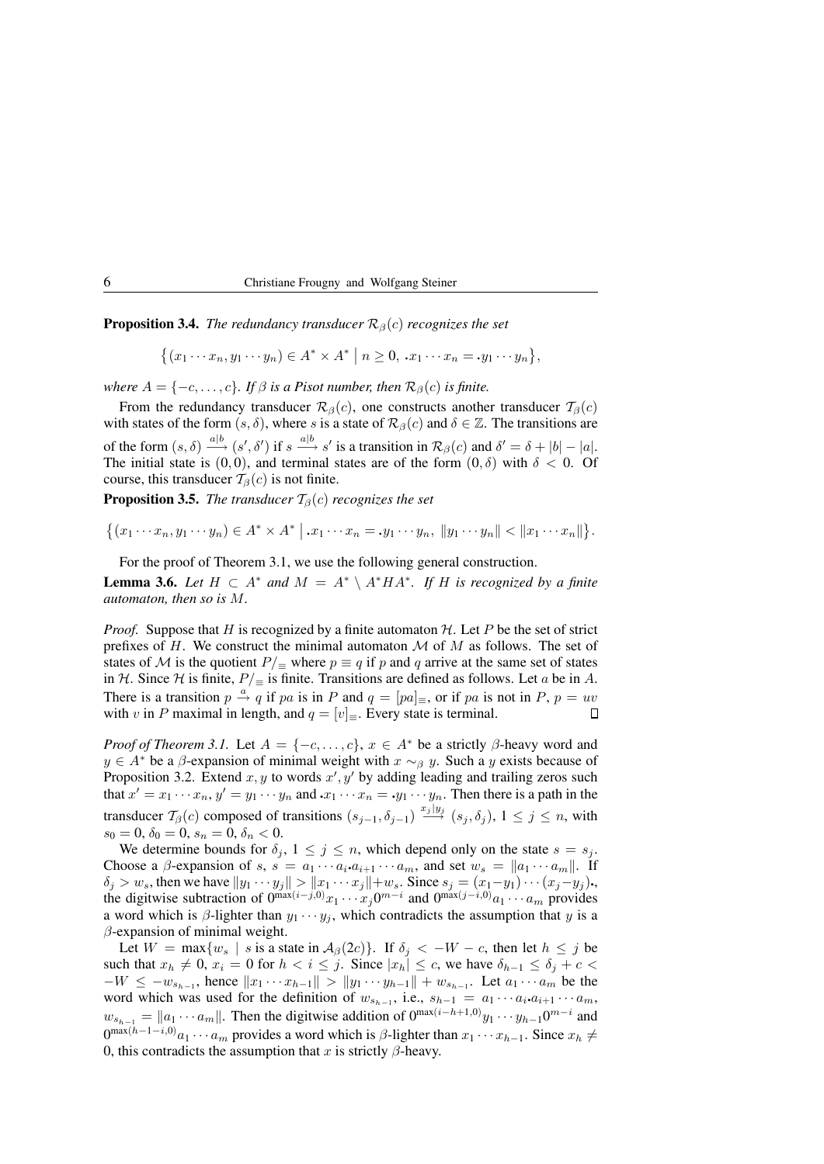**Proposition 3.4.** *The redundancy transducer*  $\mathcal{R}_{\beta}(c)$  *recognizes the set* 

 $\{(x_1 \cdots x_n, y_1 \cdots y_n) \in A^* \times A^* \mid n \geq 0, \ x_1 \cdots x_n = y_1 \cdots y_n\},\$ 

*where*  $A = \{-c, \ldots, c\}$ *. If*  $\beta$  *is a Pisot number, then*  $\mathcal{R}_{\beta}(c)$  *is finite.* 

From the redundancy transducer  $\mathcal{R}_{\beta}(c)$ , one constructs another transducer  $\mathcal{T}_{\beta}(c)$ with states of the form  $(s, \delta)$ , where s is a state of  $\mathcal{R}_{\beta}(c)$  and  $\delta \in \mathbb{Z}$ . The transitions are of the form  $(s, \delta) \xrightarrow{a|b} (s', \delta')$  if  $s \xrightarrow{a|b} s'$  is a transition in  $\mathcal{R}_{\beta}(c)$  and  $\delta' = \delta + |b| - |a|$ . The initial state is  $(0, 0)$ , and terminal states are of the form  $(0, \delta)$  with  $\delta < 0$ . Of course, this transducer  $T_\beta(c)$  is not finite.

**Proposition 3.5.** *The transducer*  $T_\beta(c)$  *recognizes the set* 

 $\{(x_1 \cdots x_n, y_1 \cdots y_n) \in A^* \times A^* \mid x_1 \cdots x_n = y_1 \cdots y_n, \|y_1 \cdots y_n\| < \|x_1 \cdots x_n\|\}.$ 

For the proof of Theorem 3.1, we use the following general construction.

**Lemma 3.6.** Let  $H \subset A^*$  and  $M = A^* \setminus A^* H A^*$ . If H is recognized by a finite *automaton, then so is* M*.*

*Proof.* Suppose that H is recognized by a finite automaton  $H$ . Let P be the set of strict prefixes of H. We construct the minimal automaton  $\mathcal M$  of  $M$  as follows. The set of states of M is the quotient  $P/$  ≡ where  $p \equiv q$  if p and q arrive at the same set of states in H. Since H is finite,  $P/\equiv$  is finite. Transitions are defined as follows. Let a be in A. There is a transition  $p \stackrel{a}{\rightarrow} q$  if pa is in P and  $q = [pa]_{\equiv}$ , or if pa is not in P,  $p = uv$ with v in P maximal in length, and  $q = [v]_{\equiv}$ . Every state is terminal.  $\Box$ 

*Proof of Theorem 3.1.* Let  $A = \{-c, \ldots, c\}$ ,  $x \in A^*$  be a strictly  $\beta$ -heavy word and  $y \in A^*$  be a  $\beta$ -expansion of minimal weight with  $x \sim_\beta y$ . Such a y exists because of Proposition 3.2. Extend  $x, y$  to words  $x', y'$  by adding leading and trailing zeros such that  $x' = x_1 \cdots x_n$ ,  $y' = y_1 \cdots y_n$  and  $x_1 \cdots x_n = y_1 \cdots y_n$ . Then there is a path in the transducer  $\mathcal{T}_{\beta}(c)$  composed of transitions  $(s_{j-1}, \delta_{j-1}) \stackrel{x_j|y_j}{\longrightarrow} (s_j, \delta_j)$ ,  $1 \le j \le n$ , with  $s_0 = 0, \delta_0 = 0, s_n = 0, \delta_n < 0.$ 

We determine bounds for  $\delta_j$ ,  $1 \leq j \leq n$ , which depend only on the state  $s = s_j$ . Choose a  $\beta$ -expansion of s,  $s = a_1 \cdots a_i a_{i+1} \cdots a_m$ , and set  $w_s = ||a_1 \cdots a_m||$ . If  $\delta_j > w_s$ , then we have  $||y_1 \cdots y_j|| > ||x_1 \cdots x_j|| + w_s$ . Since  $s_j = (x_1-y_1) \cdots (x_j-y_j)$ . the digitwise subtraction of  $0^{\max(i-j,0)}x_1 \cdots x_j 0^{m-i}$  and  $0^{\max(j-i,0)}a_1 \cdots a_m$  provides a word which is  $\beta$ -lighter than  $y_1 \cdots y_j$ , which contradicts the assumption that y is a  $\beta$ -expansion of minimal weight.

Let  $W = \max\{w_s \mid s \text{ is a state in } \mathcal{A}_{\beta}(2c)\}\$ . If  $\delta_j < -W - c$ , then let  $h \leq j$  be such that  $x_h \neq 0$ ,  $x_i = 0$  for  $h < i \leq j$ . Since  $|x_h| \leq c$ , we have  $\delta_{h-1} \leq \delta_i + c$  $-W \leq -w_{s_{h-1}}$ , hence  $||x_1 \cdots x_{h-1}|| > ||y_1 \cdots y_{h-1}|| + w_{s_{h-1}}$ . Let  $a_1 \cdots a_m$  be the word which was used for the definition of  $w_{s_{h-1}}$ , i.e.,  $s_{h-1} = a_1 \cdots a_i a_{i+1} \cdots a_m$ ,  $w_{s_{h-1}} = ||a_1 \cdots a_m||$ . Then the digitwise addition of  $0^{\max(i-h+1,0)}y_1 \cdots y_{h-1}0^{m-i}$  and  $0^{\max(h-1-i,0)}a_1\cdots a_m$  provides a word which is  $\beta$ -lighter than  $x_1\cdots x_{h-1}$ . Since  $x_h \neq$ 0, this contradicts the assumption that x is strictly  $\beta$ -heavy.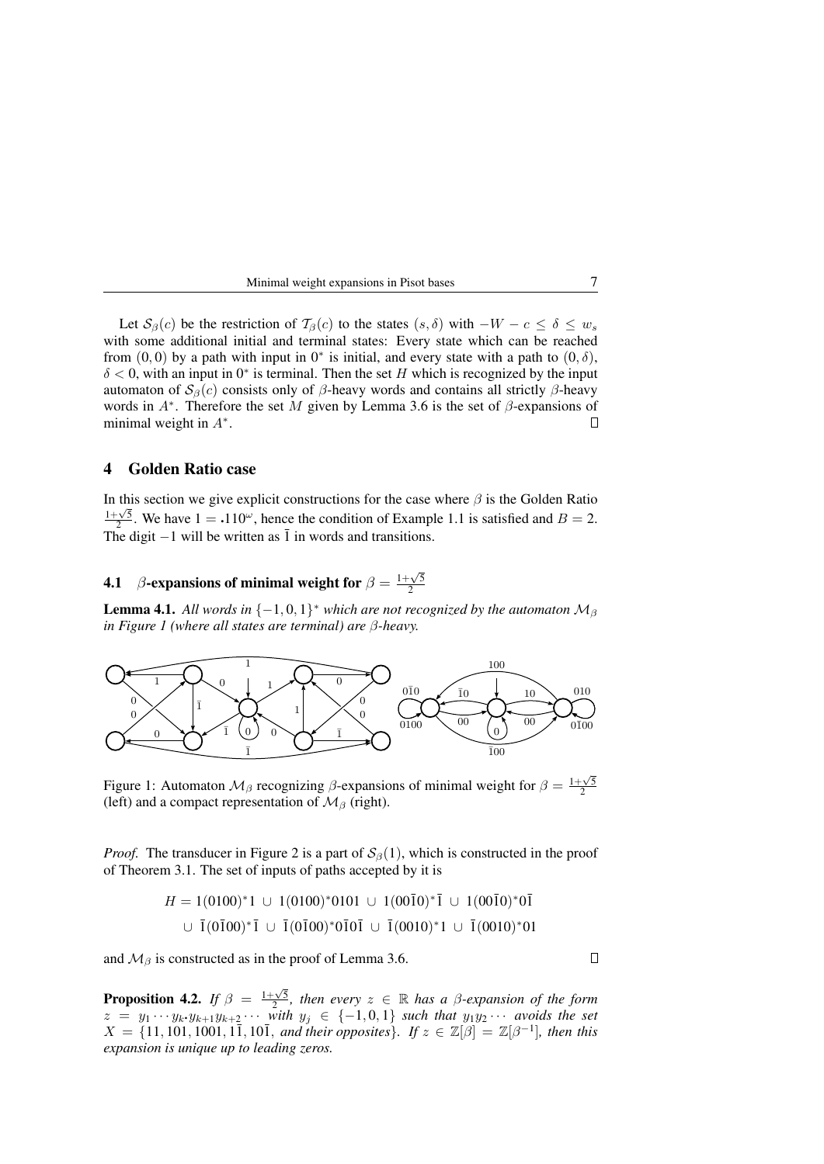| Minimal weight expansions in Pisot bases |  |
|------------------------------------------|--|
|------------------------------------------|--|

Let  $S_\beta(c)$  be the restriction of  $\mathcal{T}_\beta(c)$  to the states  $(s, \delta)$  with  $-W - c \leq \delta \leq w_s$ with some additional initial and terminal states: Every state which can be reached from  $(0,0)$  by a path with input in  $0^*$  is initial, and every state with a path to  $(0,\delta)$ ,  $\delta$  < 0, with an input in 0<sup>\*</sup> is terminal. Then the set H which is recognized by the input automaton of  $S_\beta(c)$  consists only of β-heavy words and contains all strictly β-heavy words in  $A^*$ . Therefore the set M given by Lemma 3.6 is the set of  $\beta$ -expansions of minimal weight in  $A^*$ .  $\Box$ 

#### 4 Golden Ratio case

In this section we give explicit constructions for the case where  $\beta$  is the Golden Ratio  $\frac{1+\sqrt{5}}{2}$ . We have  $1 = .110^{\omega}$ , hence the condition of Example 1.1 is satisfied and  $B = 2$ . The digit  $-1$  will be written as  $\overline{1}$  in words and transitions.

# **4.1** β-expansions of minimal weight for  $\beta = \frac{1+\sqrt{5}}{2}$ 2

**Lemma 4.1.** All words in  $\{-1,0,1\}^*$  which are not recognized by the automaton  $\mathcal{M}_{\beta}$ *in Figure 1 (where all states are terminal) are* β*-heavy.*



Figure 1: Automaton  $\mathcal{M}_{\beta}$  recognizing  $\beta$ -expansions of minimal weight for  $\beta = \frac{1+\sqrt{5}}{2}$ (left) and a compact representation of  $\mathcal{M}_{\beta}$  (right).

*Proof.* The transducer in Figure 2 is a part of  $S_\beta(1)$ , which is constructed in the proof of Theorem 3.1. The set of inputs of paths accepted by it is

$$
H = 1(0100)^{*}1 \cup 1(0100)^{*}0101 \cup 1(00\overline{1}0)^{*}\overline{1} \cup 1(00\overline{1}0)^{*}0\overline{1}
$$
  

$$
\cup \ \overline{1}(0\overline{1}00)^{*}\overline{1} \cup \ \overline{1}(0\overline{1}00)^{*}0\overline{1}0\overline{1} \cup \ \overline{1}(0010)^{*}1 \cup \ \overline{1}(0010)^{*}01
$$

and  $\mathcal{M}_{\beta}$  is constructed as in the proof of Lemma 3.6.

**Proposition 4.2.** *If*  $\beta = \frac{1+\sqrt{5}}{2}$ , then every  $z \in \mathbb{R}$  has a  $\beta$ -expansion of the form  $z = y_1 \cdots y_k \cdot y_{k+1} y_{k+2} \cdots$  with  $y_j \in \{-1,0,1\}$  such that  $y_1 y_2 \cdots$  avoids the set  $X = \{11, 101, 1001, 1\overline{1}, 10\overline{1}, \text{ and their opposites}\}\text{. If } z \in \mathbb{Z}[\beta] = \mathbb{Z}[\beta^{-1}]$ , then this *expansion is unique up to leading zeros.*

 $\Box$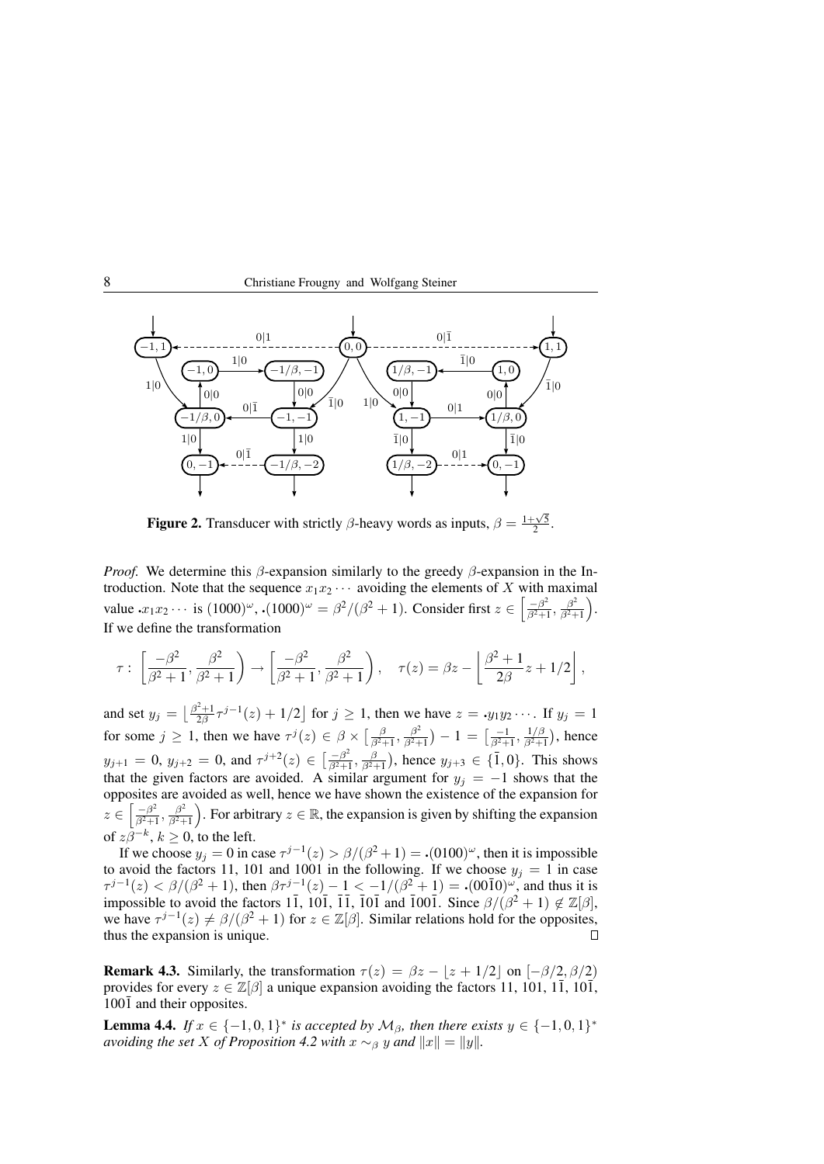



**Figure 2.** Transducer with strictly  $\beta$ -heavy words as inputs,  $\beta = \frac{1 + \sqrt{5}}{2}$ .

*Proof.* We determine this  $\beta$ -expansion similarly to the greedy  $\beta$ -expansion in the Introduction. Note that the sequence  $x_1x_2 \cdots$  avoiding the elements of X with maximal value  $x_1x_2 \cdots$  is  $(1000)^\omega$ ,  $\cdot (1000)^\omega = \frac{\beta^2}{\beta^2 + 1}$ . Consider first  $z \in \left[\frac{-\beta^2}{\beta^2 + 1}\right]$  $\frac{-\beta^2}{\beta^2+1}, \frac{\beta^2}{\beta^2+1}$  $\frac{\beta^2}{\beta^2+1}$ . If we define the transformation

$$
\tau: \left[\frac{-\beta^2}{\beta^2+1}, \frac{\beta^2}{\beta^2+1}\right) \to \left[\frac{-\beta^2}{\beta^2+1}, \frac{\beta^2}{\beta^2+1}\right), \quad \tau(z) = \beta z - \left[\frac{\beta^2+1}{2\beta}z + 1/2\right],
$$

and set  $y_j = \left[ \frac{\beta^2 + 1}{2\beta} \tau^{j-1}(z) + 1/2 \right]$  for  $j \ge 1$ , then we have  $z = y_1 y_2 \cdots$ . If  $y_j = 1$ for some  $j \ge 1$ , then we have  $\tau^{j}(z) \in \beta \times \left[\frac{\beta}{\beta^{2}+1}, \frac{\beta^{2}}{\beta^{2}+1}\right]$  $\frac{\beta^2}{\beta^2+1})-1=\big[\frac{-1}{\beta^2+1},\frac{1/\beta}{\beta^2+1}\big]$  $\frac{1/\beta}{\beta^2+1}$ ), hence  $y_{j+1} = 0$ ,  $y_{j+2} = 0$ , and  $\tau^{j+2}(z) \in \left[\frac{-\beta^2}{\beta^2 + 1}\right]$  $\frac{(-\beta^2)}{\beta^2+1}, \frac{\beta}{\beta^2+1}$ ), hence  $y_{j+3} \in \{\overline{1},0\}$ . This shows that the given factors are avoided. A similar argument for  $y_j = -1$  shows that the opposites are avoided as well, hence we have shown the existence of the expansion for z ∈  $\left[-\beta^2\right]$  $\frac{-\beta^2}{\beta^2+1}, \frac{\beta^2}{\beta^2+1}$  $\left(\frac{\beta^2}{\beta^2+1}\right)$ . For arbitrary  $z \in \mathbb{R}$ , the expansion is given by shifting the expansion of  $z\beta^{-k}$ ,  $k \geq 0$ , to the left.

If we choose  $y_j = 0$  in case  $\tau^{j-1}(z) > \frac{\beta}{(\beta^2 + 1)} = (0100)^\omega$ , then it is impossible to avoid the factors 11, 101 and 1001 in the following. If we choose  $y_j = 1$  in case  $\tau^{j-1}(z) < \beta/(\beta^2 + 1)$ , then  $\beta \tau^{j-1}(z) - 1 < -1/(\beta^2 + 1) = (0.000)$ , and thus it is impossible to avoid the factors 11, 101, 11, 101 and 1001. Since  $\beta/(\beta^2 + 1) \notin \mathbb{Z}[\beta],$ we have  $\tau^{j-1}(z) \neq \beta/(\beta^2 + 1)$  for  $z \in \mathbb{Z}[\beta]$ . Similar relations hold for the opposites, thus the expansion is unique.  $\Box$ 

**Remark 4.3.** Similarly, the transformation  $\tau(z) = \beta z - |z + 1/2|$  on  $[-\beta/2, \beta/2]$ provides for every  $z \in \mathbb{Z}[\beta]$  a unique expansion avoiding the factors 11, 101, 11, 101,  $100\overline{1}$  and their opposites.

**Lemma 4.4.** *If*  $x \in \{-1,0,1\}^*$  *is accepted by*  $M_\beta$ *, then there exists*  $y \in \{-1,0,1\}^*$ *avoiding the set X of Proposition* 4.2 *with*  $x \sim_\beta y$  *and*  $||x|| = ||y||$ *.*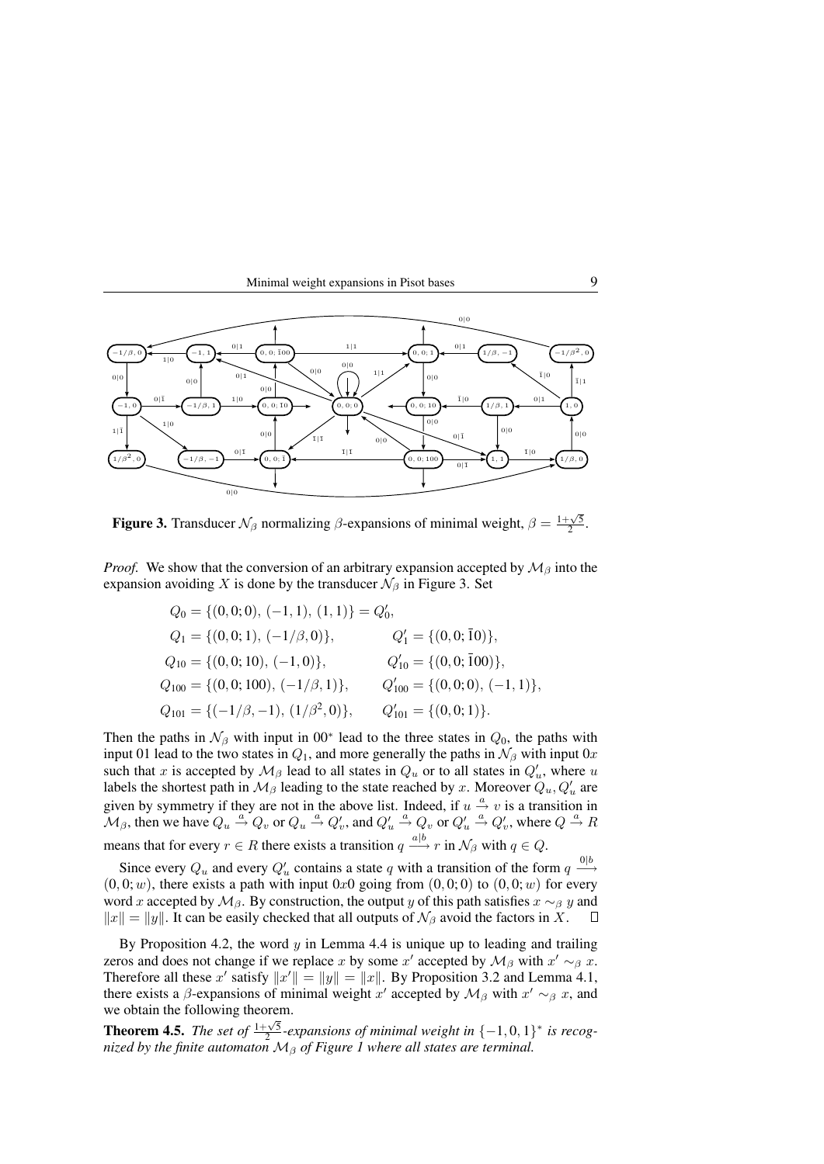



**Figure 3.** Transducer  $\mathcal{N}_{\beta}$  normalizing  $\beta$ -expansions of minimal weight,  $\beta = \frac{1+\sqrt{5}}{2}$ .

*Proof.* We show that the conversion of an arbitrary expansion accepted by  $\mathcal{M}_{\beta}$  into the expansion avoiding X is done by the transducer  $\mathcal{N}_{\beta}$  in Figure 3. Set

$$
Q_0 = \{(0,0;0), (-1,1), (1,1)\} = Q'_0,
$$
  
\n
$$
Q_1 = \{(0,0;1), (-1/\beta,0)\}, \qquad Q'_1 = \{(0,0;\overline{1}0)\},
$$
  
\n
$$
Q_{10} = \{(0,0;10), (-1,0)\}, \qquad Q'_{10} = \{(0,0;\overline{1}00)\},
$$
  
\n
$$
Q_{100} = \{(0,0;100), (-1/\beta,1)\}, \qquad Q'_{100} = \{(0,0;0), (-1,1)\},
$$
  
\n
$$
Q_{101} = \{(-1/\beta,-1), (1/\beta^2,0)\}, \qquad Q'_{101} = \{(0,0;1)\}.
$$

Then the paths in  $\mathcal{N}_{\beta}$  with input in 00<sup>\*</sup> lead to the three states in  $Q_0$ , the paths with input 01 lead to the two states in  $Q_1$ , and more generally the paths in  $\mathcal{N}_{\beta}$  with input 0x such that x is accepted by  $\mathcal{M}_{\beta}$  lead to all states in  $Q_u$  or to all states in  $Q'_u$ , where u labels the shortest path in  $\mathcal{M}_{\beta}$  leading to the state reached by x. Moreover  $Q_u, Q'_u$  are given by symmetry if they are not in the above list. Indeed, if  $u \stackrel{a}{\rightarrow} v$  is a transition in  $\mathcal{M}_{\beta}$ , then we have  $Q_u \stackrel{a}{\rightarrow} Q_v$  or  $Q_u \stackrel{a}{\rightarrow} Q_v'$ , and  $Q_u' \stackrel{a}{\rightarrow} Q_v$  or  $Q_u' \stackrel{a}{\rightarrow} Q_v'$ , where  $Q \stackrel{a}{\rightarrow} R$ means that for every  $r \in R$  there exists a transition  $q \stackrel{a|b}{\longrightarrow} r$  in  $\mathcal{N}_{\beta}$  with  $q \in Q$ .

Since every  $Q_u$  and every  $Q'_u$  contains a state q with a transition of the form  $q \stackrel{0|b}{\longrightarrow}$  $(0, 0; w)$ , there exists a path with input 0x0 going from  $(0, 0; 0)$  to  $(0, 0; w)$  for every word x accepted by  $M_\beta$ . By construction, the output y of this path satisfies  $x \sim_\beta y$  and  $||x|| = ||y||$ . It can be easily checked that all outputs of  $\mathcal{N}_{\beta}$  avoid the factors in X.  $\Box$ 

By Proposition 4.2, the word  $y$  in Lemma 4.4 is unique up to leading and trailing zeros and does not change if we replace x by some x' accepted by  $\mathcal{M}_{\beta}$  with  $x' \sim_{\beta} x$ . Therefore all these x' satisfy  $||x'|| = ||y|| = ||x||$ . By Proposition 3.2 and Lemma 4.1, there exists a  $\beta$ -expansions of minimal weight  $x'$  accepted by  $\mathcal{M}_{\beta}$  with  $x' \sim_{\beta} x$ , and we obtain the following theorem.

**Theorem 4.5.** *The set of*  $\frac{1+\sqrt{5}}{2}$ -expansions of minimal weight in  $\{-1,0,1\}^*$  is recog**nicoluments.** The set of  $\frac{1}{2}$  -expansions of minimal weight in  $\left\{ \begin{array}{c} 1,0,1 \end{array} \right\}$  inized by the finite automaton  $M_{\beta}$  of Figure 1 where all states are terminal.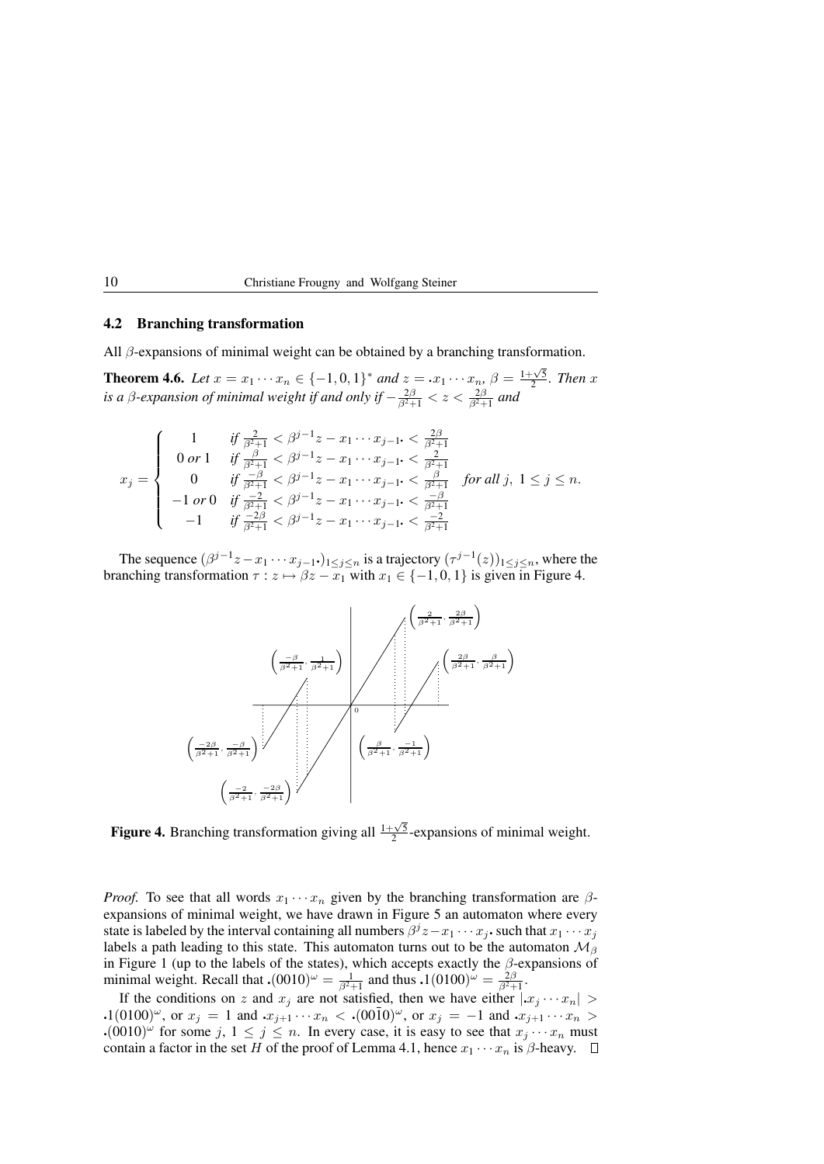### 4.2 Branching transformation

All  $\beta$ -expansions of minimal weight can be obtained by a branching transformation.

**Theorem 4.6.** Let  $x = x_1 \cdots x_n \in \{-1, 0, 1\}^*$  and  $z = x_1 \cdots x_n$ ,  $\beta = \frac{1 + \sqrt{5}}{2}$ . Then x. *is a β-expansion of minimal weight if and only if*  $-\frac{2\beta}{\beta^2+1} < z < \frac{2\beta}{\beta^2+1}$  and

$$
x_j = \begin{cases} 1 & \text{if } \frac{2}{\beta^2 + 1} < \beta^{j-1} z - x_1 \cdots x_{j-1} < \frac{2\beta}{\beta^2 + 1} \\ 0 \text{ or } 1 & \text{if } \frac{\beta}{\beta^2 + 1} < \beta^{j-1} z - x_1 \cdots x_{j-1} < \frac{2}{\beta^2 + 1} \\ 0 & \text{if } \frac{-\beta}{\beta^2 + 1} < \beta^{j-1} z - x_1 \cdots x_{j-1} < \frac{\beta}{\beta^2 + 1} \end{cases} \text{ for all } j, 1 \le j \le n.
$$
  
\n
$$
-1 \text{ or } 0 \text{ if } \frac{-2}{\beta^2 + 1} < \beta^{j-1} z - x_1 \cdots x_{j-1} < \frac{-\beta}{\beta^2 + 1} \\ -1 \text{ if } \frac{-2\beta}{\beta^2 + 1} < \beta^{j-1} z - x_1 \cdots x_{j-1} < \frac{-2}{\beta^2 + 1} \end{cases}
$$

The sequence  $(\beta^{j-1}z-x_1\cdots x_{j-1}\cdot)_{1\leq j\leq n}$  is a trajectory  $(\tau^{j-1}(z))_{1\leq j\leq n}$ , where the branching transformation  $\tau : z \mapsto \beta z - x_1$  with  $x_1 \in \{-1, 0, 1\}$  is given in Figure 4.



**Figure 4.** Branching transformation giving all  $\frac{1+\sqrt{5}}{2}$ -expansions of minimal weight.

*Proof.* To see that all words  $x_1 \cdots x_n$  given by the branching transformation are  $\beta$ expansions of minimal weight, we have drawn in Figure 5 an automaton where every state is labeled by the interval containing all numbers  $\beta^j z - x_1 \cdots x_j$  such that  $x_1 \cdots x_j$ labels a path leading to this state. This automaton turns out to be the automaton  $\mathcal{M}_{\beta}$ in Figure 1 (up to the labels of the states), which accepts exactly the  $\beta$ -expansions of minimal weight. Recall that  $\cdot (0010)^{\omega} = \frac{1}{\beta^2 + 1}$  and thus  $\cdot 1(0100)^{\omega} = \frac{2\beta}{\beta^2 + 1}$ .

If the conditions on z and  $x_j$  are not satisfied, then we have either  $|x_j \cdots x_n|$ .1(0100)<sup> $\omega$ </sup>, or  $x_j = 1$  and  $x_{j+1} \cdots x_n <$  .(00 $\overline{1}0$ ) $\omega$ , or  $x_j = -1$  and  $x_{j+1} \cdots x_n >$  $\cdot (0010)^{\omega}$  for some j,  $1 \le j \le n$ . In every case, it is easy to see that  $x_j \cdots x_n$  must contain a factor in the set H of the proof of Lemma 4.1, hence  $x_1 \cdots x_n$  is  $\beta$ -heavy.  $\Box$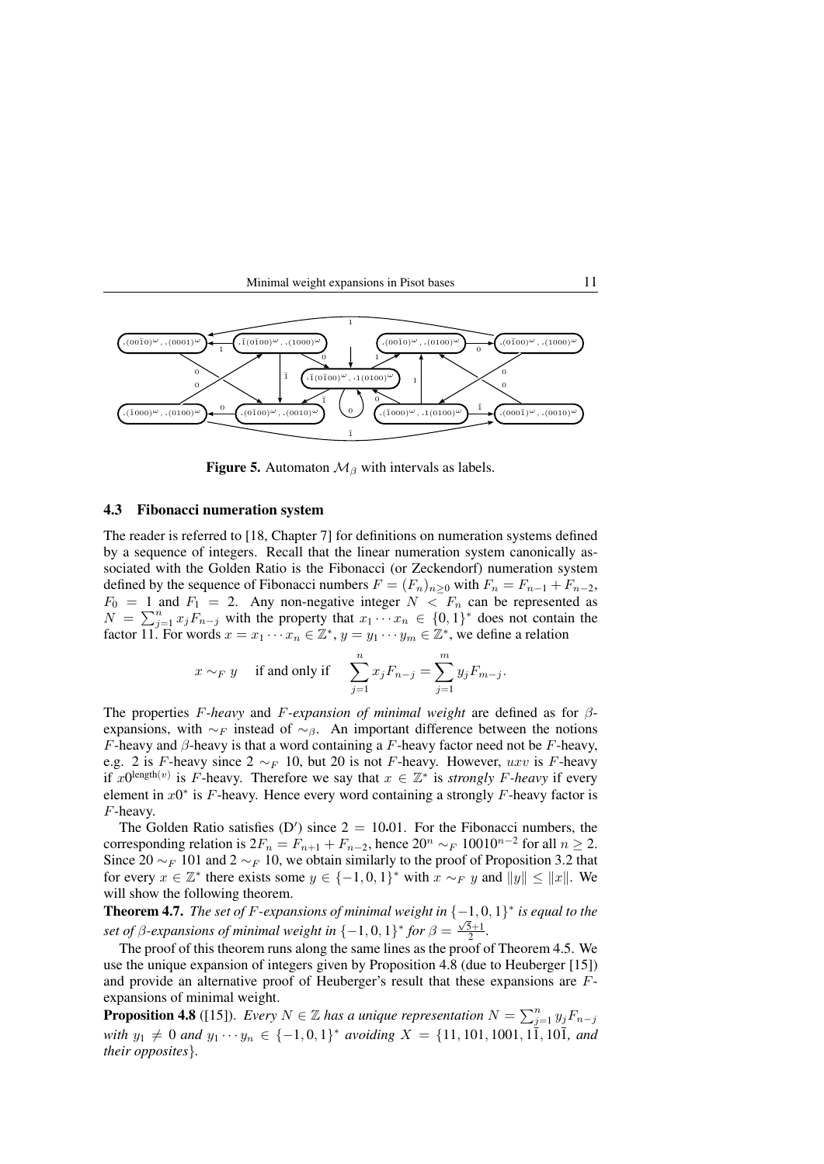



**Figure 5.** Automaton  $\mathcal{M}_{\beta}$  with intervals as labels.

#### 4.3 Fibonacci numeration system

The reader is referred to [18, Chapter 7] for definitions on numeration systems defined by a sequence of integers. Recall that the linear numeration system canonically associated with the Golden Ratio is the Fibonacci (or Zeckendorf) numeration system defined by the sequence of Fibonacci numbers  $F = (F_n)_{n>0}$  with  $F_n = F_{n-1} + F_{n-2}$ ,  $F_0 = 1$  and  $F_1 = 2$ . Any non-negative integer  $N < F_n$  can be represented as  $N = \sum_{j=1}^{n} x_j F_{n-j}$  with the property that  $x_1 \cdots x_n \in \{0, 1\}^*$  does not contain the factor  $\overline{11}$ . For words  $x = x_1 \cdots x_n \in \mathbb{Z}^*, y = y_1 \cdots y_m \in \mathbb{Z}^*$ , we define a relation

$$
x \sim_F y
$$
 if and only if  $\sum_{j=1}^n x_j F_{n-j} = \sum_{j=1}^m y_j F_{m-j}$ .

The properties F*-heavy* and F*-expansion of minimal weight* are defined as for βexpansions, with  $\sim_F$  instead of  $\sim_\beta$ . An important difference between the notions F-heavy and  $\beta$ -heavy is that a word containing a F-heavy factor need not be F-heavy, e.g. 2 is F-heavy since  $2 \sim_F 10$ , but 20 is not F-heavy. However, uxv is F-heavy if  $x0^{\text{length}(v)}$  is F-heavy. Therefore we say that  $x \in \mathbb{Z}^*$  is *strongly* F-heavy if every element in  $x0^*$  is F-heavy. Hence every word containing a strongly F-heavy factor is F-heavy.

The Golden Ratio satisfies (D') since  $2 = 10.01$ . For the Fibonacci numbers, the corresponding relation is  $2F_n = F_{n+1} + F_{n-2}$ , hence  $20^n \sim_F 10010^{n-2}$  for all  $n \ge 2$ . Since 20  $\sim_F 101$  and  $2 \sim_F 10$ , we obtain similarly to the proof of Proposition 3.2 that for every  $x \in \mathbb{Z}^*$  there exists some  $y \in \{-1,0,1\}^*$  with  $\overline{x} \sim_F y$  and  $||y|| \le ||x||$ . We will show the following theorem.

**Theorem 4.7.** *The set of F-expansions of minimal weight in*  $\{-1,0,1\}^*$  *is equal to the set of*  $\beta$ -expansions of minimal weight in  $\{-1,0,1\}^*$  for  $\beta = \frac{\sqrt{5}+1}{2}$ .

The proof of this theorem runs along the same lines as the proof of Theorem 4.5. We use the unique expansion of integers given by Proposition 4.8 (due to Heuberger [15]) and provide an alternative proof of Heuberger's result that these expansions are Fexpansions of minimal weight.

**Proposition 4.8** ([15]). *Every*  $N \in \mathbb{Z}$  *has a unique representation*  $N = \sum_{j=1}^{n} y_j F_{n-j}$  $with y_1 \neq 0$  and  $y_1 \cdots y_n \in \{-1,0,1\}^*$  avoiding  $X = \{11, 101, 1001, 11, 101,$  and *their opposites*}*.*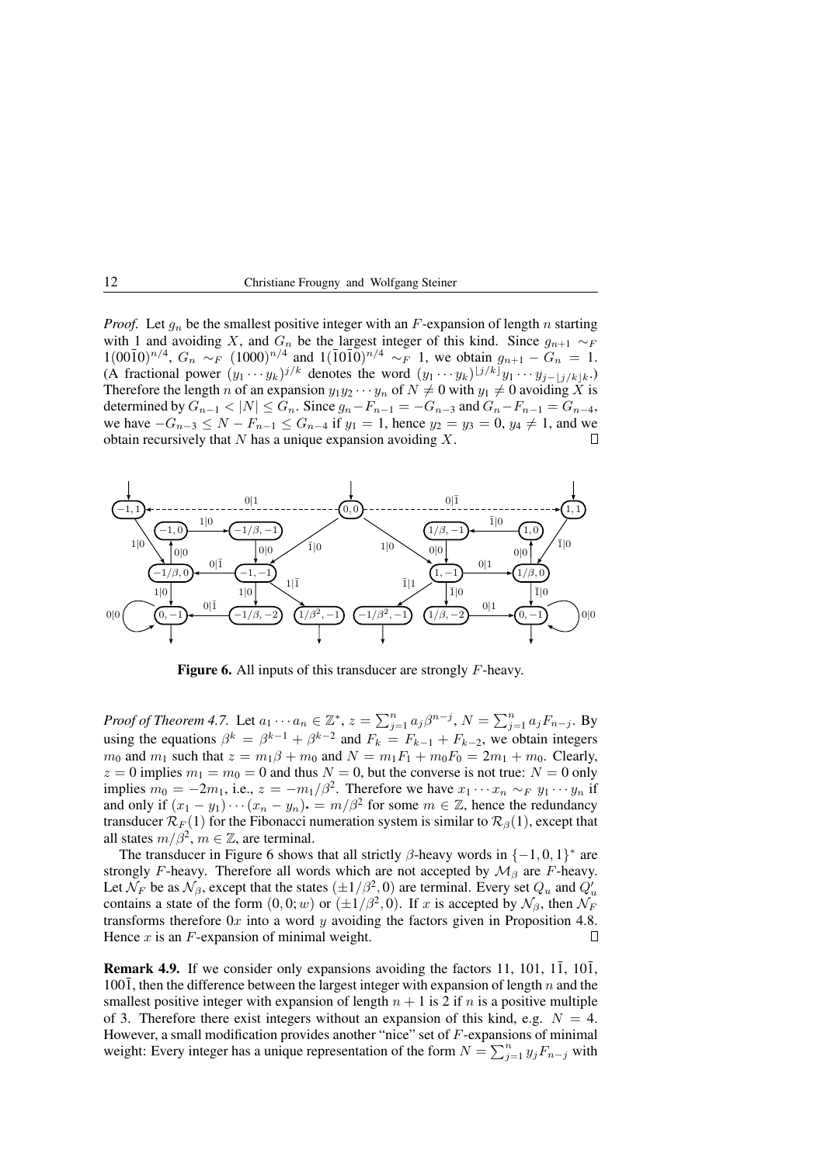*Proof.* Let  $g_n$  be the smallest positive integer with an F-expansion of length n starting with 1 and avoiding X, and  $G_n$  be the largest integer of this kind. Since  $g_{n+1} \sim_F$  $1(00\bar{1}0)^{n/4}$ ,  $G_n \sim_F (1000)^{n/4}$  and  $1(\bar{1}0\bar{1}0)^{n/4} \sim_F 1$ , we obtain  $g_{n+1} - G_n = 1$ . (A fractional power  $(y_1 \cdots y_k)^{j/k}$  denotes the word  $(y_1 \cdots y_k)^{\lfloor j/k \rfloor} y_1 \cdots y_{j-\lfloor j/k \rfloor k}$ .) Therefore the length n of an expansion  $y_1y_2 \cdots y_n$  of  $N \neq 0$  with  $y_1 \neq 0$  avoiding X is determined by  $G_{n-1} < |N| \le G_n$ . Since  $g_n - F_{n-1} = -G_{n-3}$  and  $G_n - F_{n-1} = G_{n-4}$ , we have  $-G_{n-3} \le N - F_{n-1} \le G_{n-4}$  if  $y_1 = 1$ , hence  $y_2 = y_3 = 0$ ,  $y_4 \ne 1$ , and we obtain recursively that  $N$  has a unique expansion avoiding  $X$ .



Figure 6. All inputs of this transducer are strongly F-heavy.

*Proof of Theorem 4.7.* Let  $a_1 \cdots a_n \in \mathbb{Z}^*$ ,  $z = \sum_{j=1}^n a_j \beta^{n-j}$ ,  $N = \sum_{j=1}^n a_j F_{n-j}$ . By using the equations  $\beta^k = \beta^{k-1} + \beta^{k-2}$  and  $F_k = F_{k-1} + F_{k-2}$ , we obtain integers  $m_0$  and  $m_1$  such that  $z = m_1\beta + m_0$  and  $N = m_1F_1 + m_0F_0 = 2m_1 + m_0$ . Clearly,  $z = 0$  implies  $m_1 = m_0 = 0$  and thus  $N = 0$ , but the converse is not true:  $N = 0$  only implies  $m_0 = -2m_1$ , i.e.,  $z = -m_1/\beta^2$ . Therefore we have  $x_1 \cdots x_n \sim_F y_1 \cdots y_n$  if and only if  $(x_1 - y_1) \cdots (x_n - y_n) = m/\beta^2$  for some  $m \in \mathbb{Z}$ , hence the redundancy transducer  $\mathcal{R}_F(1)$  for the Fibonacci numeration system is similar to  $\mathcal{R}_{\beta}(1)$ , except that all states  $m/\beta^2$ ,  $m \in \mathbb{Z}$ , are terminal.

The transducer in Figure 6 shows that all strictly  $\beta$ -heavy words in  $\{-1, 0, 1\}^*$  are strongly F-heavy. Therefore all words which are not accepted by  $\mathcal{M}_{\beta}$  are F-heavy. Let  $\mathcal{N}_F$  be as  $\mathcal{N}_\beta$ , except that the states  $(\pm 1/\beta^2, 0)$  are terminal. Every set  $Q_u$  and  $Q'_u$ contains a state of the form  $(0,0; w)$  or  $(\pm 1/\beta^2, 0)$ . If x is accepted by  $\mathcal{N}_{\beta}$ , then  $\mathcal{N}_F$ transforms therefore  $0x$  into a word  $y$  avoiding the factors given in Proposition 4.8. Hence  $x$  is an  $F$ -expansion of minimal weight.  $\Box$ 

**Remark 4.9.** If we consider only expansions avoiding the factors 11, 101, 1 $\overline{1}$ , 10 $\overline{1}$ , 1001, then the difference between the largest integer with expansion of length n and the smallest positive integer with expansion of length  $n + 1$  is 2 if n is a positive multiple of 3. Therefore there exist integers without an expansion of this kind, e.g.  $N = 4$ . However, a small modification provides another "nice" set of  $F$ -expansions of minimal weight: Every integer has a unique representation of the form  $N = \sum_{j=1}^{n} y_j F_{n-j}$  with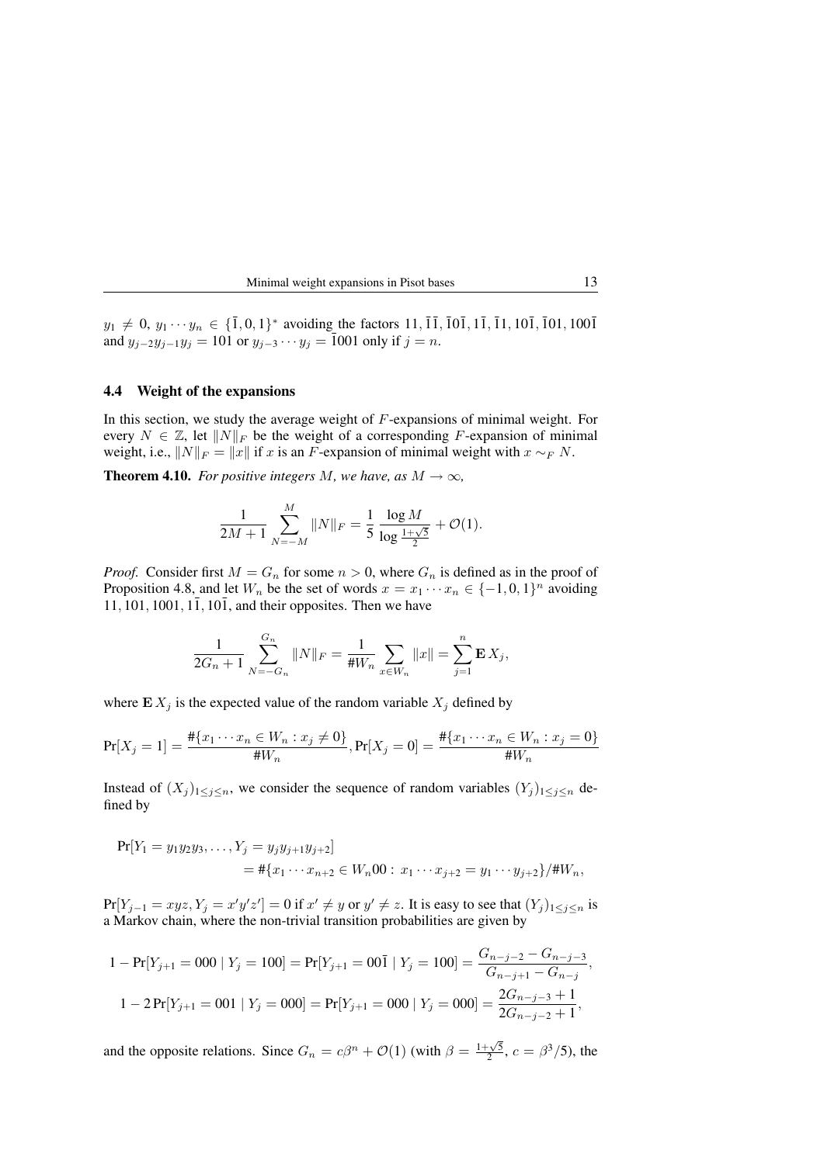Minimal weight expansions in Pisot bases 13

 $y_1 \neq 0, y_1 \cdots y_n \in \{\bar{1}, 0, 1\}^*$  avoiding the factors  $11, \bar{1}\bar{1}, \bar{1}0\bar{1}, 1\bar{1}, \bar{1}1, 10\bar{1}, \bar{1}01, 100\bar{1}$ and  $y_{j-2}y_{j-1}y_j = 101$  or  $y_{j-3} \cdots y_j = \overline{1}001$  only if  $j = n$ .

#### 4.4 Weight of the expansions

In this section, we study the average weight of  $F$ -expansions of minimal weight. For every  $N \in \mathbb{Z}$ , let  $||N||_F$  be the weight of a corresponding F-expansion of minimal weight, i.e.,  $||N||_F = ||x||$  if x is an F-expansion of minimal weight with  $x \sim_F N$ .

**Theorem 4.10.** *For positive integers M, we have, as*  $M \rightarrow \infty$ *,* 

$$
\frac{1}{2M+1} \sum_{N=-M}^{M} ||N||_F = \frac{1}{5} \frac{\log M}{\log \frac{1+\sqrt{5}}{2}} + \mathcal{O}(1).
$$

*Proof.* Consider first  $M = G_n$  for some  $n > 0$ , where  $G_n$  is defined as in the proof of Proposition 4.8, and let  $W_n$  be the set of words  $x = x_1 \cdots x_n \in \{-1,0,1\}^n$  avoiding  $11, 101, 1001, 1\overline{1}$ ,  $10\overline{1}$ , and their opposites. Then we have

$$
\frac{1}{2G_n+1} \sum_{N=-G_n}^{G_n} ||N||_F = \frac{1}{\#W_n} \sum_{x \in W_n} ||x|| = \sum_{j=1}^n \mathbf{E} X_j,
$$

where  $E X_j$  is the expected value of the random variable  $X_j$  defined by

$$
\Pr[X_j = 1] = \frac{\# \{x_1 \cdots x_n \in W_n : x_j \neq 0\}}{\# W_n}, \Pr[X_j = 0] = \frac{\# \{x_1 \cdots x_n \in W_n : x_j = 0\}}{\# W_n}
$$

Instead of  $(X_j)_{1\leq j\leq n}$ , we consider the sequence of random variables  $(Y_j)_{1\leq j\leq n}$  defined by

$$
Pr[Y_1 = y_1y_2y_3, \dots, Y_j = y_jy_{j+1}y_{j+2}]
$$
  
=  $\#\{x_1 \cdots x_{n+2} \in W_n 00 : x_1 \cdots x_{j+2} = y_1 \cdots y_{j+2}\} / \#W_n,$ 

 $Pr[Y_{j-1} = xyz, Y_j = x'y'z'] = 0$  if  $x' \neq y$  or  $y' \neq z$ . It is easy to see that  $(Y_j)_{1 \leq j \leq n}$  is a Markov chain, where the non-trivial transition probabilities are given by

$$
1 - \Pr[Y_{j+1} = 000 \mid Y_j = 100] = \Pr[Y_{j+1} = 00\bar{1} \mid Y_j = 100] = \frac{G_{n-j-2} - G_{n-j-3}}{G_{n-j+1} - G_{n-j}},
$$
  

$$
1 - 2\Pr[Y_{j+1} = 001 \mid Y_j = 000] = \Pr[Y_{j+1} = 000 \mid Y_j = 000] = \frac{2G_{n-j-3} + 1}{2G_{n-j-2} + 1},
$$

and the opposite relations. Since  $G_n = c\beta^n + \mathcal{O}(1)$  (with  $\beta = \frac{1+\sqrt{5}}{2}$ ,  $c = \beta^3/5$ ), the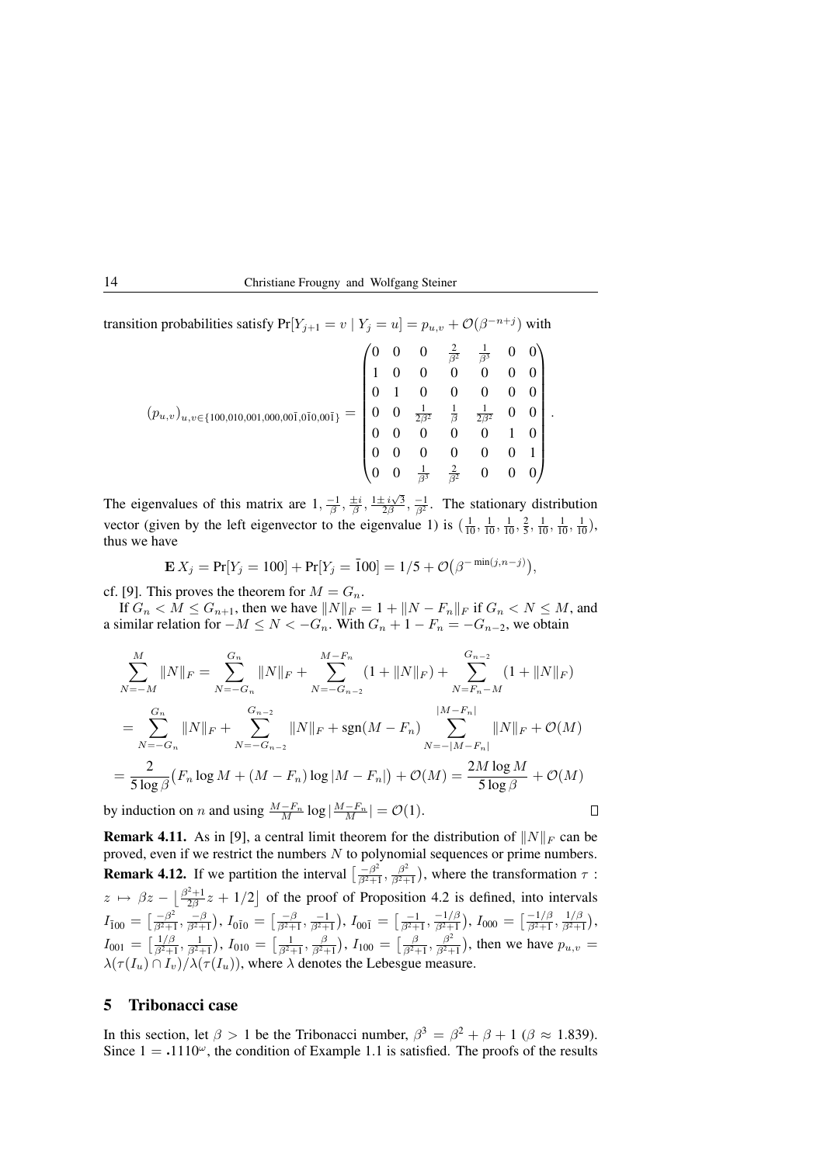transition probabilities satisfy  $Pr[Y_{j+1} = v \mid Y_j = u] = p_{u,v} + \mathcal{O}(\beta^{-n+j})$  with

$$
(p_{u,v})_{u,v \in \{100,010,001,000,00\bar{1},0\bar{1}0,00\bar{1}\}} = \begin{pmatrix} 0 & 0 & 0 & \frac{2}{\beta^2} & \frac{1}{\beta^3} & 0 & 0 \\ 1 & 0 & 0 & 0 & 0 & 0 & 0 \\ 0 & 1 & 0 & 0 & 0 & 0 & 0 \\ 0 & 0 & \frac{1}{2\beta^2} & \frac{1}{\beta} & \frac{1}{2\beta^2} & 0 & 0 \\ 0 & 0 & 0 & 0 & 0 & 1 & 0 \\ 0 & 0 & 0 & 0 & 0 & 0 & 1 \\ 0 & 0 & \frac{1}{\beta^3} & \frac{2}{\beta^2} & 0 & 0 & 0 \end{pmatrix}.
$$

The eigenvalues of this matrix are  $1, \frac{-1}{\beta}, \frac{\pm i}{\beta}, \frac{1 \pm i\sqrt{3}}{2\beta}, \frac{-1}{\beta^2}$ . The stationary distribution vector (given by the left eigenvector to the eigenvalue 1) is  $(\frac{1}{10}, \frac{1}{10}, \frac{1}{10}, \frac{2}{5}, \frac{1}{10}, \frac{1}{10}, \frac{1}{10})$ , thus we have

$$
\mathbf{E} X_j = \Pr[Y_j = 100] + \Pr[Y_j = \bar{1}00] = 1/5 + \mathcal{O}(\beta^{-\min(j, n-j)}),
$$

cf. [9]. This proves the theorem for  $M = G_n$ .

If  $G_n < \hat{M} \leq G_{n+1}$ , then we have  $||N||_F = 1 + ||N - F_n||_F$  if  $G_n < N \leq M$ , and a similar relation for  $-M \le N < -G_n$ . With  $G_n + 1 - F_n = -G_{n-2}$ , we obtain

$$
\sum_{N=-M}^{M} ||N||_{F} = \sum_{N=-G_{n}}^{G_{n}} ||N||_{F} + \sum_{N=-G_{n-2}}^{M-F_{n}} (1 + ||N||_{F}) + \sum_{N=F_{n}-M}^{G_{n-2}} (1 + ||N||_{F})
$$
  
\n
$$
= \sum_{N=-G_{n}}^{G_{n}} ||N||_{F} + \sum_{N=-G_{n-2}}^{G_{n-2}} ||N||_{F} + \text{sgn}(M - F_{n}) \sum_{N=-|M-F_{n}|}^{|M-F_{n}|} ||N||_{F} + \mathcal{O}(M)
$$
  
\n
$$
= \frac{2}{5 \log \beta} (F_{n} \log M + (M - F_{n}) \log |M - F_{n}|) + \mathcal{O}(M) = \frac{2M \log M}{5 \log \beta} + \mathcal{O}(M)
$$
  
\n*v* induction on *n* and using  $\frac{M-F_{n}}{S} \log |M-F_{n}| = \mathcal{O}(1).$ 

by induction on *n* and using  $\frac{M-F_n}{M} \log |\frac{M-F_n}{M}| = \mathcal{O}(1)$ . **Remark 4.11.** As in [9], a central limit theorem for the distribution of  $||N||_F$  can be

proved, even if we restrict the numbers  $N$  to polynomial sequences or prime numbers. **Remark 4.12.** If we partition the interval  $\left[\frac{-\beta^2}{\beta^2 + 1}\right]$  $\frac{-\beta^2}{\beta^2+1}, \frac{\beta^2}{\beta^2+1}$  $\frac{\beta^2}{\beta^2+1}$ ), where the transformation  $\tau$ :  $z \mapsto \beta z - \left[\frac{\beta^2+1}{2\beta}z + 1/2\right]$  of the proof of Proposition 4.2 is defined, into intervals  $I_{\bar{1}00} = \left[\frac{-\beta^2}{\beta^2 + 1}\right]$  $\frac{-\beta^2}{\beta^2+1}, \frac{-\beta}{\beta^2+1}),\, I_{0\bar{1}0}\,=\, \bigl[\frac{-\beta}{\beta^2+1}, \frac{-1}{\beta^2+1}\bigr),\, I_{00\bar{1}}\,=\, \bigl[\frac{-1}{\beta^2+1}, \frac{-1/\beta}{\beta^2+1}\bigr]$  $\frac{-1/\beta}{\beta^2+1}), I_{000} = \left[\frac{-1/\beta}{\beta^2+1}\right]$  $\frac{-1/\beta}{\beta^2+1}, \frac{1/\beta}{\beta^2+1}$  $\frac{1/\beta}{\beta^2+1}$ ),  $I_{001} = \left[\frac{1/\beta}{\beta^2 + 1}\right]$  $\frac{1/\beta}{\beta^2+1}, \frac{1}{\beta^2+1}$ ),  $I_{010} = \left[\frac{1}{\beta^2+1}, \frac{\beta}{\beta^2+1}\right]$ ,  $I_{100} = \left[\frac{\beta}{\beta^2+1}, \frac{\beta^2}{\beta^2+1}\right]$  $\left(\frac{\beta^2}{\beta^2+1}\right)$ , then we have  $p_{u,v} =$  $\lambda(\tau(I_u) \cap I_v)/\lambda(\tau(I_u))$ , where  $\lambda$  denotes the Lebesgue measure.

# 5 Tribonacci case

In this section, let  $\beta > 1$  be the Tribonacci number,  $\beta^3 = \beta^2 + \beta + 1$  ( $\beta \approx 1.839$ ). Since  $1 = .1110^{\omega}$ , the condition of Example 1.1 is satisfied. The proofs of the results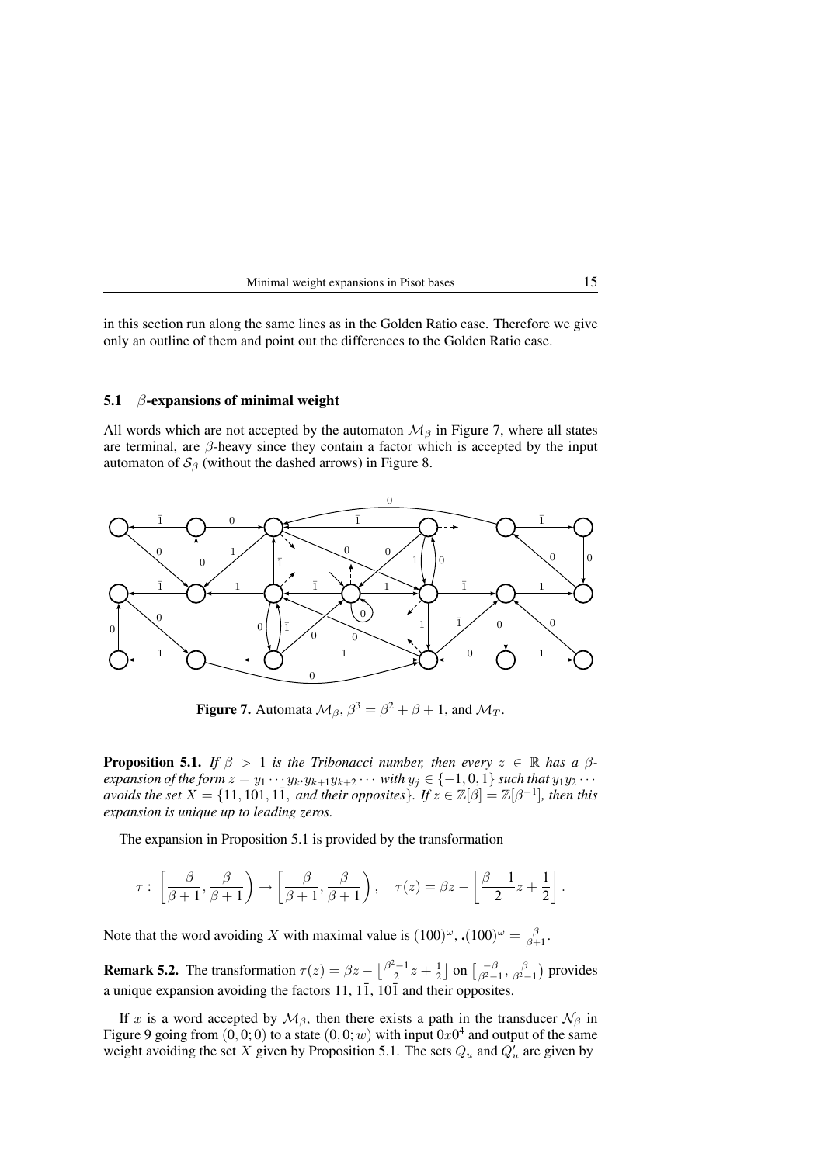| Minimal weight expansions in Pisot bases |  |
|------------------------------------------|--|
|------------------------------------------|--|

in this section run along the same lines as in the Golden Ratio case. Therefore we give only an outline of them and point out the differences to the Golden Ratio case.

#### 5.1  $\beta$ -expansions of minimal weight

All words which are not accepted by the automaton  $\mathcal{M}_{\beta}$  in Figure 7, where all states are terminal, are  $\beta$ -heavy since they contain a factor which is accepted by the input automaton of  $S_\beta$  (without the dashed arrows) in Figure 8.



**Figure 7.** Automata  $\mathcal{M}_{\beta}$ ,  $\beta^3 = \beta^2 + \beta + 1$ , and  $\mathcal{M}_T$ .

**Proposition 5.1.** *If*  $\beta > 1$  *is the Tribonacci number, then every*  $z \in \mathbb{R}$  *has a*  $\beta$ *expansion of the form*  $z = y_1 \cdots y_k \cdot y_{k+1} y_{k+2} \cdots$  *with*  $y_j \in \{-1, 0, 1\}$  *such that*  $y_1 y_2 \cdots$ *avoids the set*  $X = \{11, 101, 1\overline{1}$ *, and their opposites*}*.* If  $z \in \mathbb{Z}[\beta] = \mathbb{Z}[\beta^{-1}]$ *, then this expansion is unique up to leading zeros.*

The expansion in Proposition 5.1 is provided by the transformation

$$
\tau: \left[\frac{-\beta}{\beta+1}, \frac{\beta}{\beta+1}\right) \to \left[\frac{-\beta}{\beta+1}, \frac{\beta}{\beta+1}\right), \quad \tau(z) = \beta z - \left\lfloor \frac{\beta+1}{2}z + \frac{1}{2} \right\rfloor.
$$

Note that the word avoiding X with maximal value is  $(100)^\omega$ ,  $(100)^\omega = \frac{\beta}{\beta+1}$ .

**Remark 5.2.** The transformation  $\tau(z) = \beta z - \left[\frac{\beta^2 - 1}{2}z + \frac{1}{2}\right]$  on  $\left[\frac{-\beta}{\beta^2 - 1}, \frac{\beta}{\beta^2 - 1}\right)$  provides a unique expansion avoiding the factors 11,  $1\overline{1}$ ,  $10\overline{1}$  and their opposites.

If x is a word accepted by  $\mathcal{M}_{\beta}$ , then there exists a path in the transducer  $\mathcal{N}_{\beta}$  in Figure 9 going from  $(0,0,0)$  to a state  $(0,0; w)$  with input  $0x0^4$  and output of the same weight avoiding the set X given by Proposition 5.1. The sets  $Q_u$  and  $Q'_u$  are given by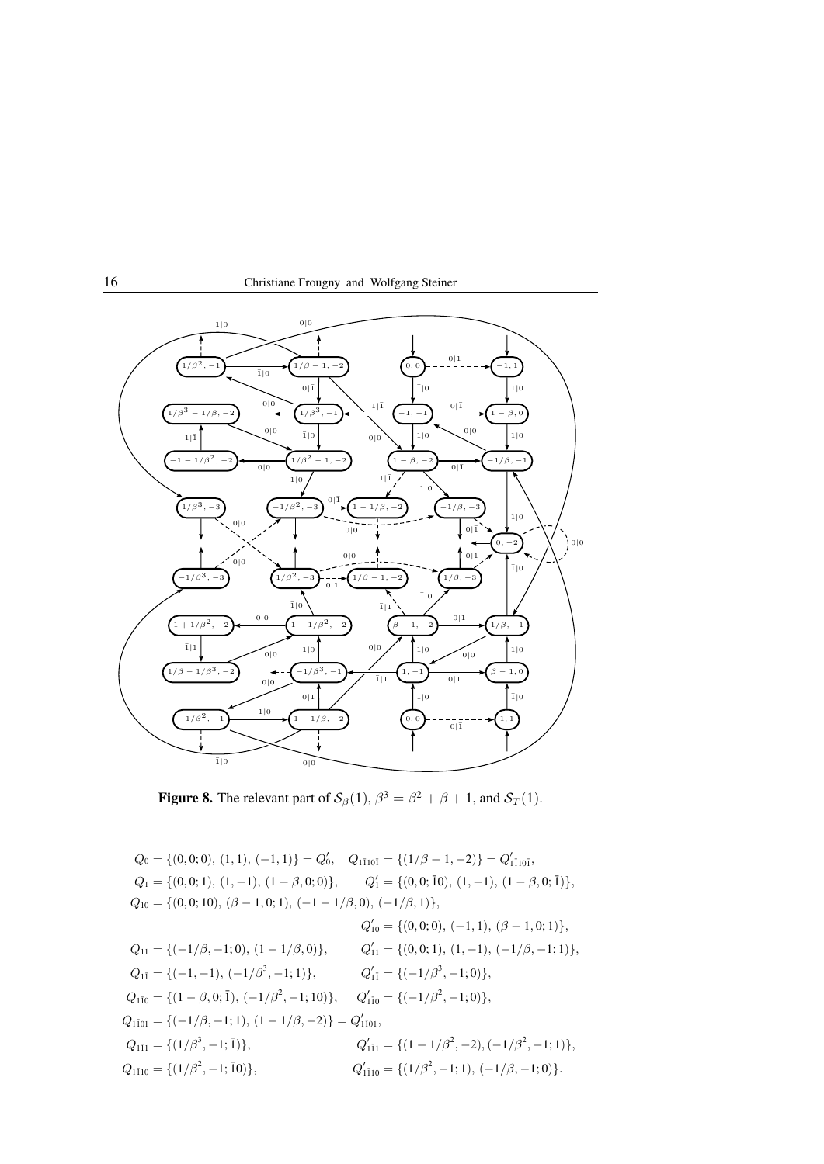



**Figure 8.** The relevant part of  $S_\beta(1)$ ,  $\beta^3 = \beta^2 + \beta + 1$ , and  $S_T(1)$ .

 $Q_0 = \{(0,0;0), (1,1), (-1,1)\} = Q'_0, \quad Q_{1\bar{1}10\bar{1}} = \{(1/\beta - 1, -2)\} = Q'_{1\bar{1}10\bar{1}},$  $Q_1 = \{(0, 0; 1), (1, -1), (1 - \beta, 0; 0)\},\$  $Q'_1 = \{(0, 0; \overline{1}0), (1, -1), (1 - \beta, 0; \overline{1})\},\$  $Q_{10} = \{(0, 0; 10), (\beta - 1, 0; 1), (-1 - 1/\beta, 0), (-1/\beta, 1)\},\$  $Q'_{10} = \{(0,0;0), (-1,1), (\beta - 1,0;1)\},\$  $Q_{11} = {(-1/\beta, -1; 0), (1 - 1/\beta, 0)},$  $Q'_{11} = \{(0,0;1), (1,-1), (-1/\beta,-1;1)\},\$  $Q_{1\bar{1}} = \{(-1, -1), (-1/\beta^3, -1; 1)\},$   $Q_1'$  $y'_{1\bar{1}} = \{(-1/\beta^3, -1; 0)\},\$  $Q_{1\bar{1}0} = \{ (1 - \beta, 0; \bar{1}), (-1/\beta^2, -1; 10) \}, \quad Q'_{1\bar{1}0} = \{ (-1/\beta^2, -1; 0) \},$  $Q_{1\bar{1}01} = \{(-1/\beta, -1; 1), (1 - 1/\beta, -2)\} = Q'_{1\bar{1}01},$  $Q_{1\bar{1}1} = \{ (1/\beta^3, -1; \bar{1}) \},$   $Q_1'$  $y'_{1\bar{1}1} = \{ (1 - 1/\beta^2, -2), (-1/\beta^2, -1; 1) \},\$  $Q_{1\bar{1}10} = \{ (1/\beta^2, -1; \bar{1}0) \},$   $Q_1'$  $y'_{1\bar{1}10} = \{(1/\beta^2, -1; 1), (-1/\beta, -1; 0)\}.$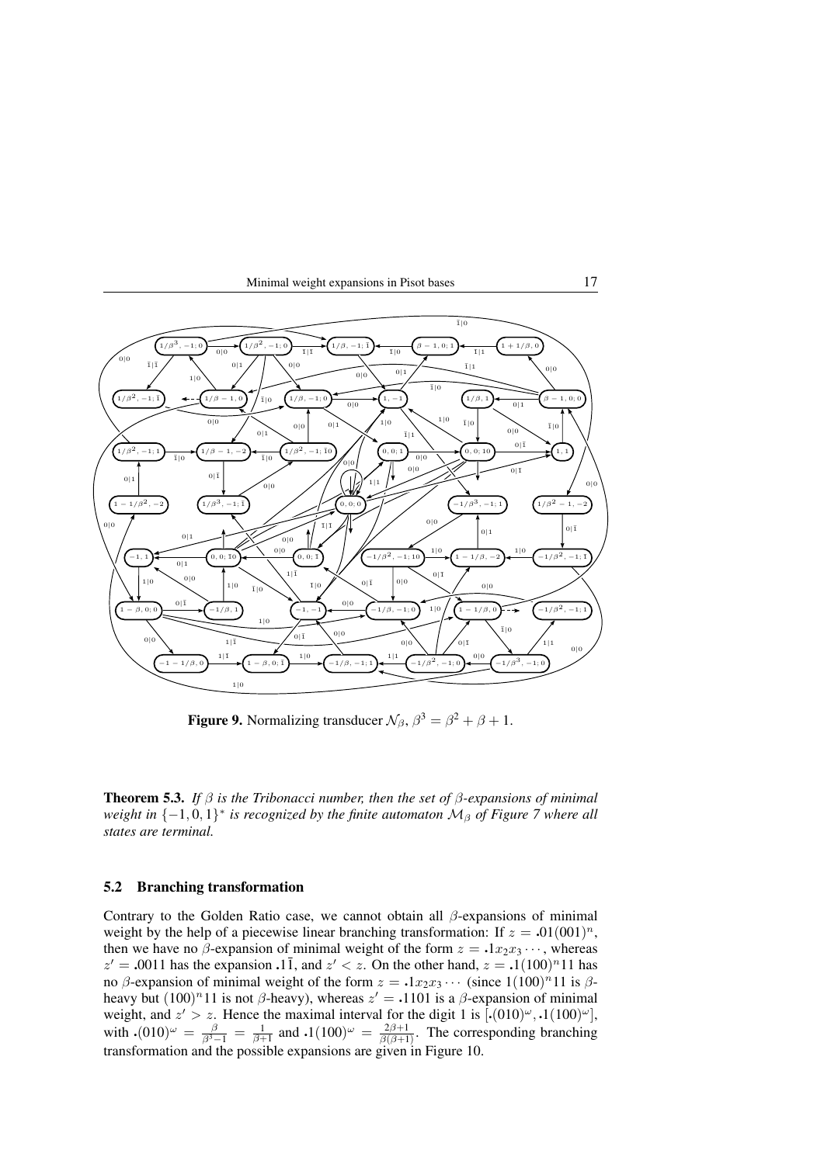

**Figure 9.** Normalizing transducer  $\mathcal{N}_{\beta}$ ,  $\beta^3 = \beta^2 + \beta + 1$ .

Theorem 5.3. *If* β *is the Tribonacci number, then the set of* β*-expansions of minimal weight in* {−1,0,1}<sup>\*</sup> *is recognized by the finite automaton*  $M<sub>β</sub>$  *of Figure* 7 *where all states are terminal.*

# 5.2 Branching transformation

Contrary to the Golden Ratio case, we cannot obtain all  $\beta$ -expansions of minimal weight by the help of a piecewise linear branching transformation: If  $z = .01(001)^n$ , then we have no  $\beta$ -expansion of minimal weight of the form  $z = .1x_2x_3 \cdots$ , whereas  $z' = .0011$  has the expansion  $\cdot 1\overline{1}$ , and  $z' < z$ . On the other hand,  $z = .1(100)^n 11$  has no  $\beta$ -expansion of minimal weight of the form  $z = .1x_2x_3 \cdots$  (since  $1(100)^n11$  is  $\beta$ heavy but  $(100)^n 11$  is not  $\beta$ -heavy), whereas  $z' = .1101$  is a  $\beta$ -expansion of minimal weight, and  $z' > z$ . Hence the maximal interval for the digit 1 is  $[.(010)^\omega, .1(100)^\omega]$ , with  $\cdot (010)^{\omega} = \frac{\beta}{\beta^3 - 1} = \frac{1}{\beta + 1}$  and  $\cdot 1(100)^{\omega} = \frac{2\beta + 1}{\beta(\beta + 1)}$ . The corresponding branching transformation and the possible expansions are given in Figure 10.

Minimal weight expansions in Pisot bases 17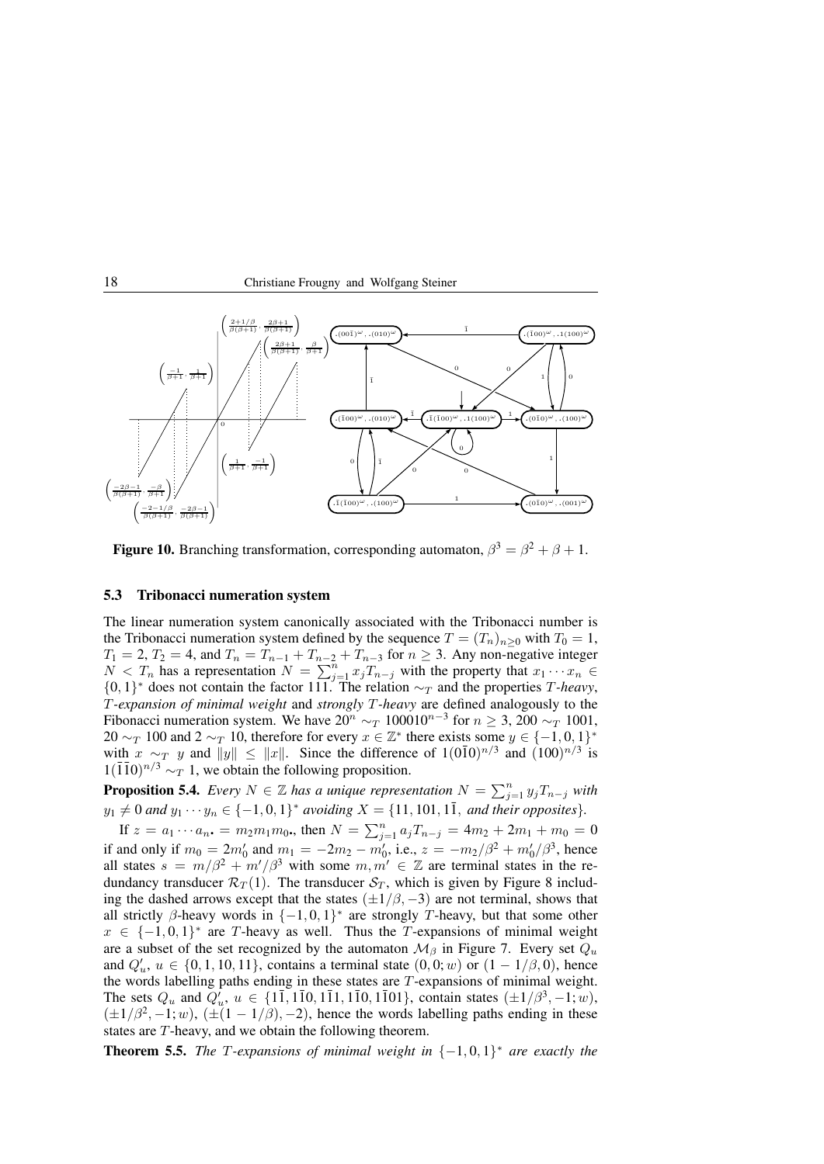



**Figure 10.** Branching transformation, corresponding automaton,  $\beta^3 = \beta^2 + \beta + 1$ .

#### 5.3 Tribonacci numeration system

The linear numeration system canonically associated with the Tribonacci number is the Tribonacci numeration system defined by the sequence  $T = (T_n)_{n>0}$  with  $T_0 = 1$ ,  $T_1 = 2, T_2 = 4$ , and  $T_n = T_{n-1} + T_{n-2} + T_{n-3}$  for  $n \ge 3$ . Any non-negative integer  $N < T_n$  has a representation  $N = \sum_{j=1}^n x_j T_{n-j}$  with the property that  $x_1 \cdots x_n \in$ {0, 1}<sup>\*</sup> does not contain the factor 111. The relation  $\sim_T$  and the properties *T*-heavy, T*-expansion of minimal weight* and *strongly* T*-heavy* are defined analogously to the Fibonacci numeration system. We have  $20^n \sim_T 100010^{n-3}$  for  $n \ge 3$ ,  $200 \sim_T 1001$ , 20  $\sim_T 100$  and 2  $\sim_T 10$ , therefore for every  $x \in \mathbb{Z}^*$  there exists some  $y \in \{-1,0,1\}^*$ with  $x \sim_T y$  and  $||y|| \le ||x||$ . Since the difference of  $1(0\overline{1}0)^{n/3}$  and  $(100)^{n/3}$  is  $1(\overline{1}\overline{1}0)^{n/3} \sim_T 1$ , we obtain the following proposition.

**Proposition 5.4.** *Every*  $N \in \mathbb{Z}$  has a unique representation  $N = \sum_{j=1}^{n} y_j T_{n-j}$  with  $y_1 \neq 0$  and  $y_1 \cdots y_n \in \{-1, 0, 1\}^*$  avoiding  $X = \{11, 101, 1\overline{1}$ , and their opposites}.

If  $z = a_1 \cdots a_n$ ,  $= m_2 m_1 m_0$ , then  $N = \sum_{j=1}^n a_j T_{n-j} = 4m_2 + 2m_1 + m_0 = 0$ if and only if  $m_0 = 2m'_0$  and  $m_1 = -2m_2 - m'_0$ , i.e.,  $z = -m_2/\beta^2 + m'_0/\beta^3$ , hence all states  $s = m/\beta^2 + m'/\beta^3$  with some  $m, m' \in \mathbb{Z}$  are terminal states in the redundancy transducer  $\mathcal{R}_T(1)$ . The transducer  $\mathcal{S}_T$ , which is given by Figure 8 including the dashed arrows except that the states  $(\pm 1/\beta, -3)$  are not terminal, shows that all strictly  $\beta$ -heavy words in  $\{-1,0,1\}^*$  are strongly T-heavy, but that some other  $x \in \{-1, 0, 1\}^*$  are T-heavy as well. Thus the T-expansions of minimal weight are a subset of the set recognized by the automaton  $\mathcal{M}_{\beta}$  in Figure 7. Every set  $Q_u$ and  $Q'_u, u \in \{0, 1, 10, 11\}$ , contains a terminal state  $(0, 0; w)$  or  $(1 - 1/\beta, 0)$ , hence the words labelling paths ending in these states are T-expansions of minimal weight. The sets  $Q_u$  and  $Q'_u$ ,  $u \in \{1\overline{1}, 1\overline{1}0, 1\overline{1}1, 1\overline{1}0, 1\overline{1}01\}$ , contain states  $(\pm 1/\beta^3, -1; w)$ ,  $(\pm 1/\beta^2, -1; w)$ ,  $(\pm (1 - 1/\beta), -2)$ , hence the words labelling paths ending in these states are T-heavy, and we obtain the following theorem.

**Theorem 5.5.** *The T-expansions of minimal weight in*  $\{-1,0,1\}^*$  *are exactly the*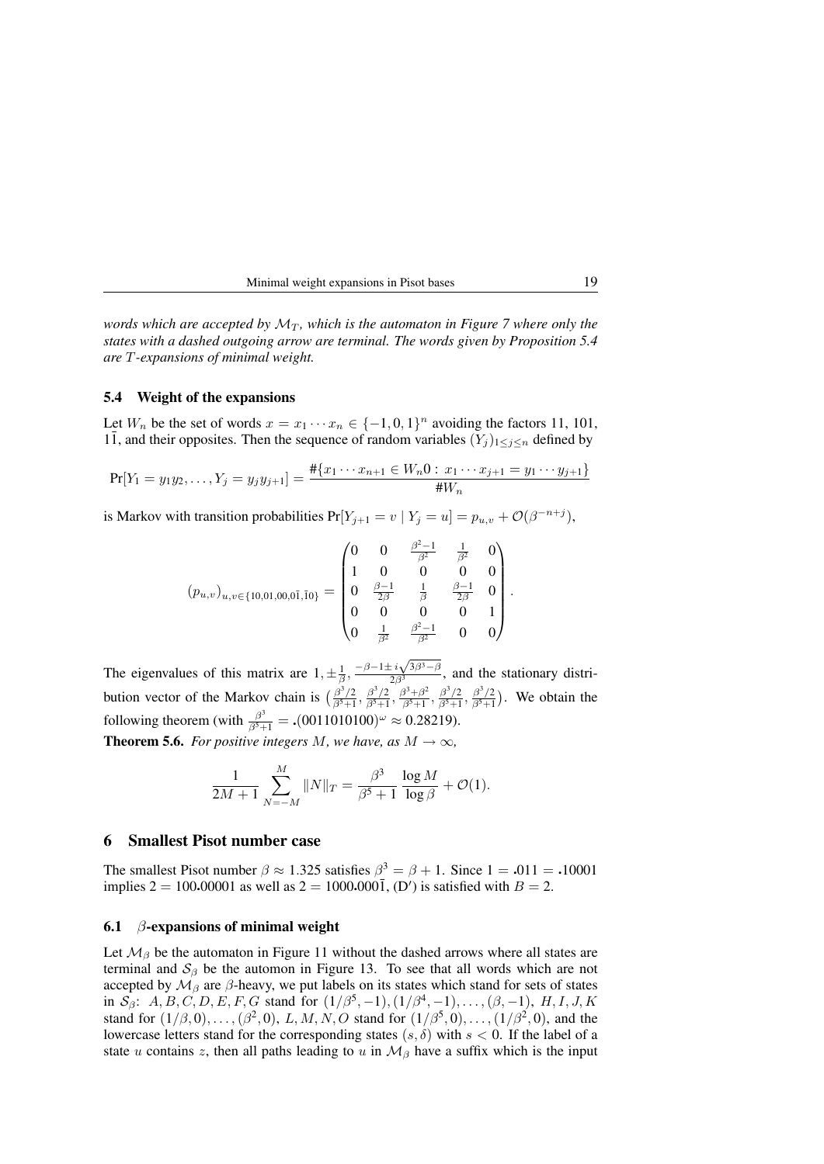| Minimal weight expansions in Pisot bases |  |
|------------------------------------------|--|
|------------------------------------------|--|

*words which are accepted by*  $M_T$ *, which is the automaton in Figure* 7 *where only the states with a dashed outgoing arrow are terminal. The words given by Proposition 5.4 are* T*-expansions of minimal weight.*

#### 5.4 Weight of the expansions

Let  $W_n$  be the set of words  $x = x_1 \cdots x_n \in \{-1,0,1\}^n$  avoiding the factors 11, 101, 11, and their opposites. Then the sequence of random variables  $(Y_j)_{1 \leq j \leq n}$  defined by

$$
\Pr[Y_1 = y_1 y_2, \dots, Y_j = y_j y_{j+1}] = \frac{\# \{x_1 \cdots x_{n+1} \in W_n 0 : x_1 \cdots x_{j+1} = y_1 \cdots y_{j+1}\}}{\# W_n}
$$

is Markov with transition probabilities  $Pr[Y_{j+1} = v | Y_j = u] = p_{u,v} + \mathcal{O}(\beta^{-n+j}),$ 

$$
(p_{u,v})_{u,v \in \{10,01,00,0\bar{1},10\}} = \begin{pmatrix} 0 & 0 & \frac{\beta^2 - 1}{\beta^2} & \frac{1}{\beta^2} & 0 \\ 1 & 0 & 0 & 0 & 0 \\ 0 & \frac{\beta - 1}{2\beta} & \frac{1}{\beta} & \frac{\beta - 1}{2\beta} & 0 \\ 0 & 0 & 0 & 0 & 1 \\ 0 & \frac{1}{\beta^2} & \frac{\beta^2 - 1}{\beta^2} & 0 & 0 \end{pmatrix}.
$$

The eigenvalues of this matrix are  $1, \pm \frac{1}{\beta}, \frac{-\beta - 1 \pm i \sqrt{3\beta^3 - \beta^3}}{2\beta^3}$  $\frac{2}{(2\beta^3)^2}$ , and the stationary distribution vector of the Markov chain is  $\left(\frac{\beta^3/2}{\beta^5+1}\right)$  $\frac{\beta^3/2}{\beta^5+1}, \frac{\beta^3/2}{\beta^5+1}$  $\frac{\beta^3/2}{\beta^5+1}, \frac{\beta^3+\beta^2}{\beta^5+1}$  $\frac{\beta^3+\beta^2}{\beta^5+1}, \frac{\beta^3/2}{\beta^5+1}$  $\frac{\beta^3/2}{\beta^5+1}, \frac{\beta^3/2}{\beta^5+1}$  $\frac{\beta^3/2}{\beta^5+1}$ ). We obtain the following theorem (with  $\frac{\beta^3}{\beta^5 + 1} =$  .(0011010100)<sup> $\omega$ </sup>  $\approx$  0.28219). **Theorem 5.6.** *For positive integers*  $M$ *, we have, as*  $M \rightarrow \infty$ *,* 

$$
\frac{1}{2M+1} \sum_{N=-M}^{M} ||N||_T = \frac{\beta^3}{\beta^5 + 1} \frac{\log M}{\log \beta} + \mathcal{O}(1).
$$

# 6 Smallest Pisot number case

The smallest Pisot number  $\beta \approx 1.325$  satisfies  $\beta^3 = \beta + 1$ . Since  $1 = .011 = .10001$ implies 2 = 100.00001 as well as 2 = 1000.000 $\bar{1}$ , (D') is satisfied with  $B = 2$ .

#### 6.1  $\beta$ -expansions of minimal weight

Let  $\mathcal{M}_{\beta}$  be the automaton in Figure 11 without the dashed arrows where all states are terminal and  $S_\beta$  be the automon in Figure 13. To see that all words which are not accepted by  $\mathcal{M}_{\beta}$  are  $\beta$ -heavy, we put labels on its states which stand for sets of states in  $S_\beta$ :  $A, B, C, D, E, F, G$  stand for  $(1/\beta^5, -1), (1/\beta^4, -1), \ldots, (\beta, -1), H, I, J, K$ stand for  $(1/\beta, 0), \ldots, (\beta^2, 0), L, M, N, O$  stand for  $(1/\beta^5, 0), \ldots, (1/\beta^2, 0)$ , and the lowercase letters stand for the corresponding states  $(s, \delta)$  with  $s < 0$ . If the label of a state u contains z, then all paths leading to u in  $M_\beta$  have a suffix which is the input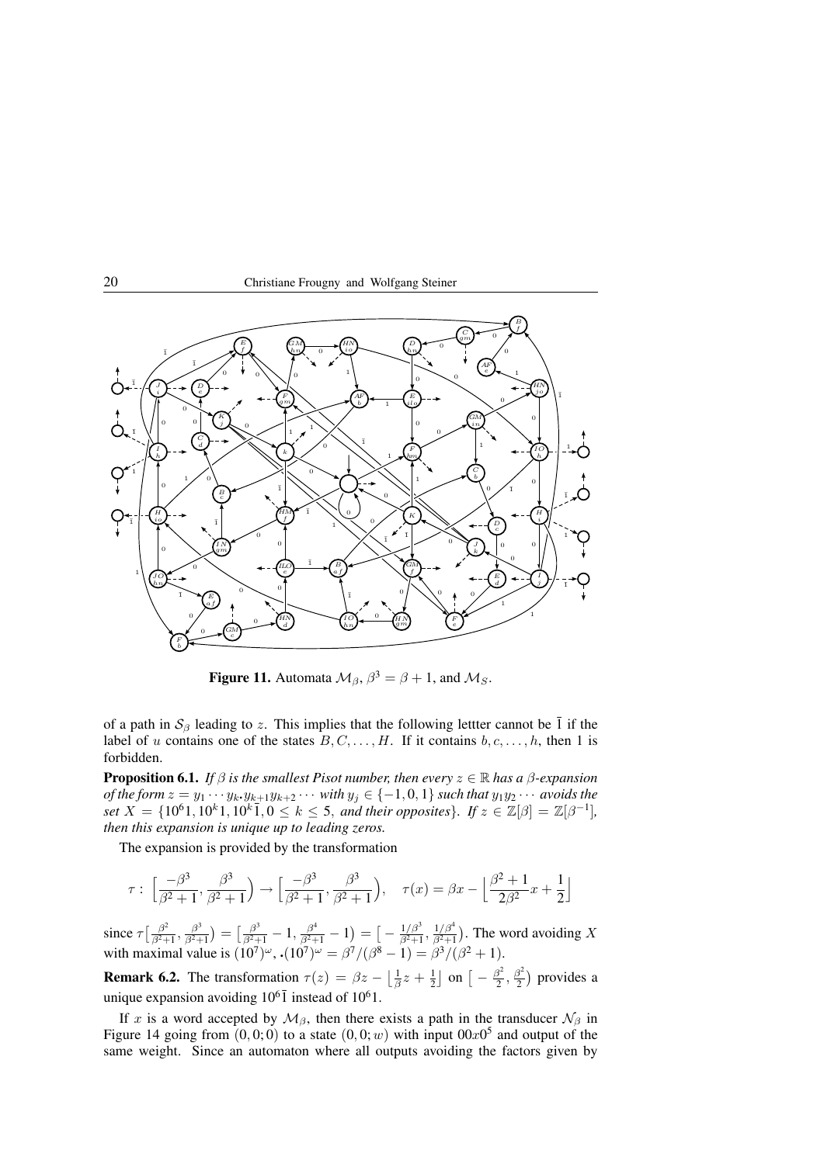



**Figure 11.** Automata  $\mathcal{M}_{\beta}$ ,  $\beta^3 = \beta + 1$ , and  $\mathcal{M}_S$ .

of a path in  $S_\beta$  leading to z. This implies that the following lettter cannot be  $\bar{1}$  if the label of u contains one of the states  $B, C, \ldots, H$ . If it contains  $b, c, \ldots, h$ , then 1 is forbidden.

**Proposition 6.1.** *If*  $\beta$  *is the smallest Pisot number, then every*  $z \in \mathbb{R}$  *has a*  $\beta$ *-expansion of the form*  $z = y_1 \cdots y_k \cdot y_{k+1} y_{k+2} \cdots$  *with*  $y_j \in \{-1,0,1\}$  *such that*  $y_1 y_2 \cdots$  *avoids the set*  $X = \{10^61, 10^k1, 10^k1, 0 \le k \le 5$ , *and their opposites*}*. If*  $z \in \mathbb{Z}[\beta] = \mathbb{Z}[\beta^{-1}]$ *, then this expansion is unique up to leading zeros.*

The expansion is provided by the transformation

$$
\tau: \left[\frac{-\beta^3}{\beta^2+1}, \frac{\beta^3}{\beta^2+1}\right) \to \left[\frac{-\beta^3}{\beta^2+1}, \frac{\beta^3}{\beta^2+1}\right), \quad \tau(x) = \beta x - \left\lfloor \frac{\beta^2+1}{2\beta^2}x + \frac{1}{2} \right\rfloor
$$

since  $\tau \left[ \frac{\beta^2}{\beta^2 + 1} \right]$  $\frac{\beta^2}{\beta^2+1}, \frac{\beta^3}{\beta^2+1}$  $\frac{\beta^3}{\beta^2+1}\big)=\big[\frac{\beta^3}{\beta^2+1}-1, \frac{\beta^4}{\beta^2+1}-1\big)=\big[-\frac{1/\beta^3}{\beta^2+1}\big]$  $\frac{1/\beta^3}{\beta^2+1}, \frac{1/\beta^4}{\beta^2+1}$  $\frac{1/\beta^2}{\beta^2+1}$ ). The word avoiding X with maximal value is  $(10^7)^{\omega}$ ,  $(10^7)^{\omega} = \frac{\beta^7}{(\beta^8 - 1)} = \frac{\beta^3}{(\beta^2 + 1)}$ .

**Remark 6.2.** The transformation  $\tau(z) = \beta z - \left\lfloor \frac{1}{\beta} z + \frac{1}{2} \right\rfloor$  on  $\left[ -\frac{\beta^2}{2} \right]$  $\frac{\beta^2}{2}, \frac{\beta^2}{2}$  $\frac{3^2}{2}$ ) provides a unique expansion avoiding  $10^6$ <sup>T</sup> instead of  $10^6$ 1.

If x is a word accepted by  $\mathcal{M}_{\beta}$ , then there exists a path in the transducer  $\mathcal{N}_{\beta}$  in Figure 14 going from  $(0,0;0)$  to a state  $(0,0;w)$  with input  $00x0<sup>5</sup>$  and output of the same weight. Since an automaton where all outputs avoiding the factors given by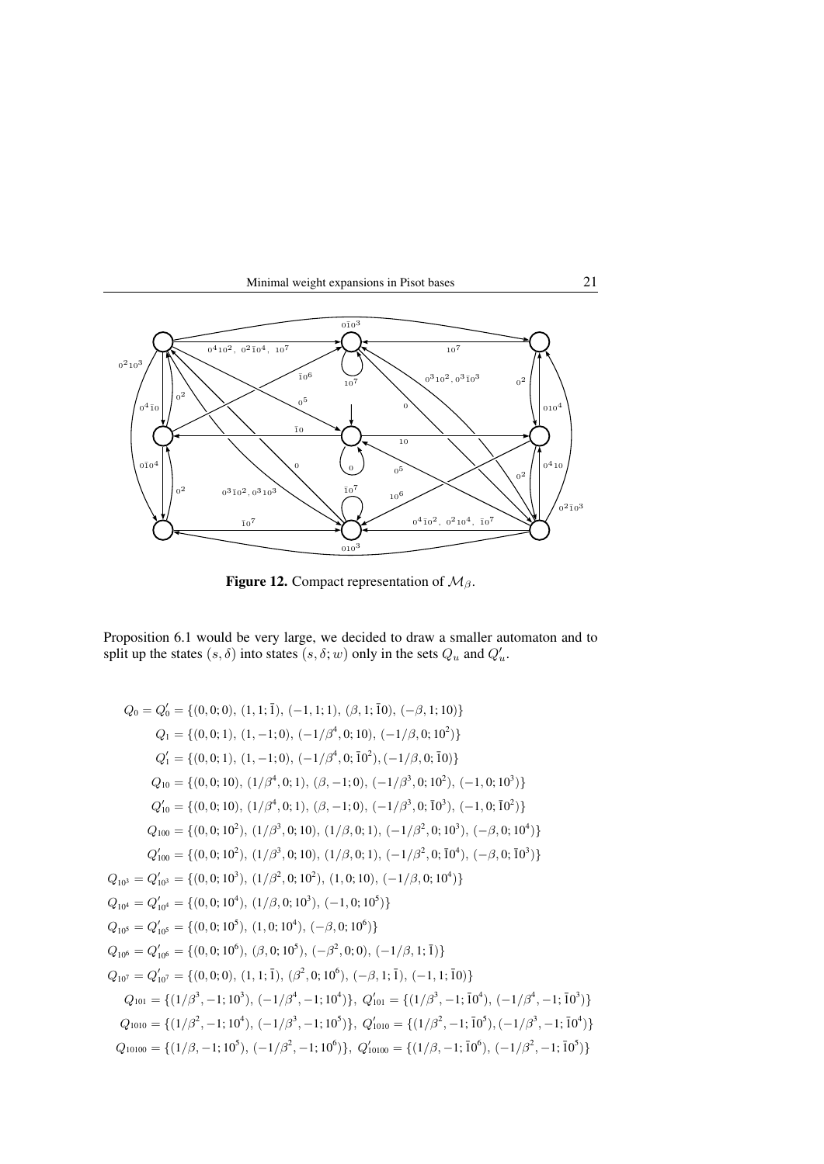



Figure 12. Compact representation of  $\mathcal{M}_{\beta}$ .

Proposition 6.1 would be very large, we decided to draw a smaller automaton and to split up the states  $(s, \delta)$  into states  $(s, \delta; w)$  only in the sets  $Q_u$  and  $Q'_u$ .

$$
Q_0 = Q'_0 = \{(0,0;0), (1,1;\overline{1}), (-1,1;1), (\beta,1;\overline{10}), (-\beta,1;10)\}
$$
  
\n
$$
Q_1 = \{(0,0;1), (1,-1;0), (-1/\beta^4,0;10), (-1/\beta,0;10^2)\}
$$
  
\n
$$
Q'_1 = \{(0,0;1), (1,-1;0), (-1/\beta^4,0;\overline{10^2}), (-1/\beta,0;\overline{10})\}
$$
  
\n
$$
Q_{10} = \{(0,0;10), (1/\beta^4,0;1), (\beta,-1;0), (-1/\beta^3,0;10^2), (-1,0;10^3)\}
$$
  
\n
$$
Q'_{10} = \{(0,0;10), (1/\beta^4,0;1), (\beta,-1;0), (-1/\beta^3,0;\overline{10^3}), (-1,0;\overline{10^3})\}
$$
  
\n
$$
Q_{100} = \{(0,0;10^2), (1/\beta^3,0;10), (1/\beta,0;1), (-1/\beta^2,0;10^3), (-\beta,0;10^4)\}
$$
  
\n
$$
Q'_{100} = \{(0,0;10^2), (1/\beta^3,0;10), (1/\beta,0;1), (-1/\beta^2,0;\overline{10^4}), (-\beta,0;\overline{10^3})\}
$$
  
\n
$$
Q_{101} = Q'_{101} = \{(0,0;10^3), (1/\beta^2,0;10^2), (1,0;10), (-1/\beta,0;10^4)\}
$$
  
\n
$$
Q_{101} = Q'_{101} = \{(0,0;10^4), (1/\beta,0;10^3), (-1,0;10^5)\}
$$
  
\n
$$
Q_{102} = Q'_{103} = \{(0,0;10^5), (1,0;10^4), (-\beta,0;10^6)\}
$$
  
\n
$$
Q_{104} = Q'_{105} = \{(0,0;10^6), (\beta,0;10^5), (-\beta^2,0;0), (-1/\beta,1;\overline{1})\}
$$
  
\n
$$
Q_{101} = Q'
$$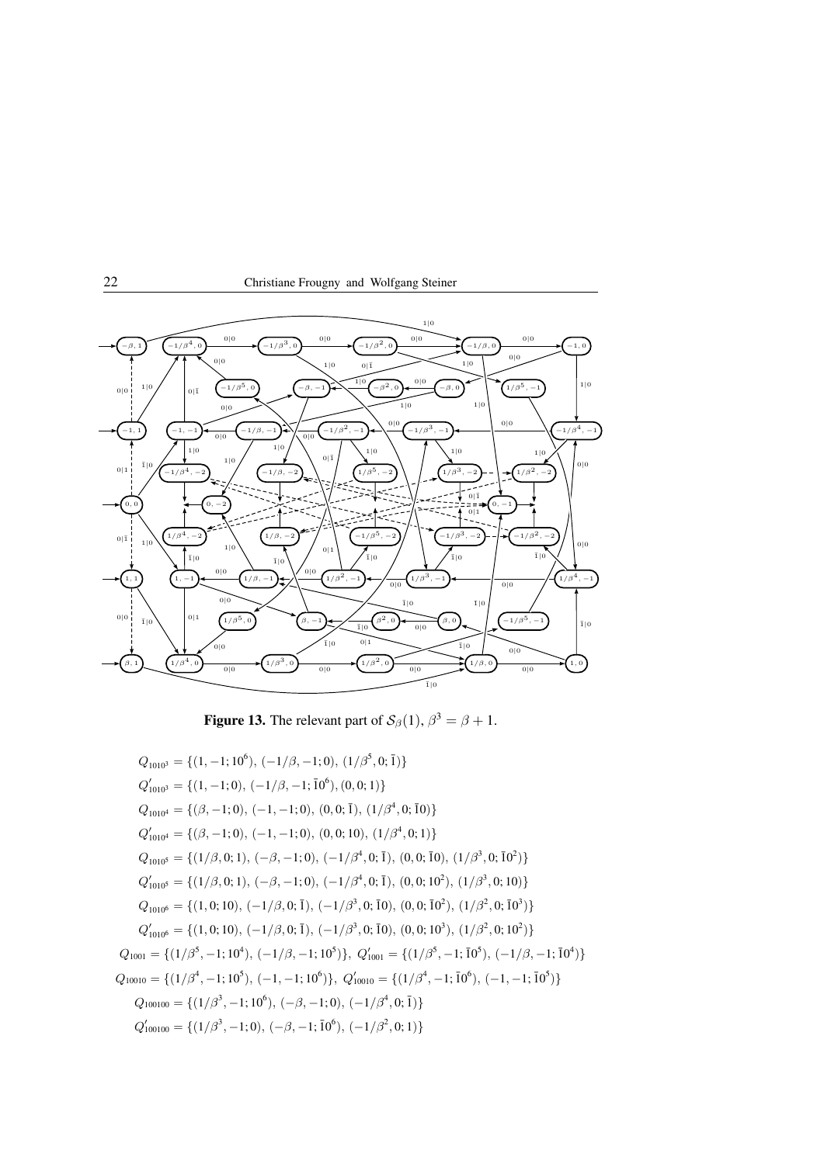



**Figure 13.** The relevant part of  $\mathcal{S}_{\beta}(1)$ ,  $\beta^3 = \beta + 1$ .

$$
Q_{1010^3} = \{(1, -1; 10^6), (-1/\beta, -1; 0), (1/\beta^5, 0; \bar{1})\}
$$
  
\n
$$
Q'_{1010^3} = \{(1, -1; 0), (-1/\beta, -1; \bar{10}^6), (0, 0; 1)\}
$$
  
\n
$$
Q_{1010^4} = \{(\beta, -1; 0), (-1, -1; 0), (0, 0; \bar{1}), (1/\beta^4, 0; \bar{10})\}
$$
  
\n
$$
Q'_{1010^4} = \{(\beta, -1; 0), (-1, -1; 0), (0, 0; 10), (1/\beta^4, 0; 1)\}
$$
  
\n
$$
Q_{1010^5} = \{(1/\beta, 0; 1), (-\beta, -1; 0), (-1/\beta^4, 0; \bar{1}), (0, 0; \bar{10}), (1/\beta^3, 0; \bar{10}^2)\}
$$
  
\n
$$
Q'_{1010^5} = \{(1/\beta, 0; 1), (-\beta, -1; 0), (-1/\beta^4, 0; \bar{1}), (0, 0; 10^2), (1/\beta^3, 0; 10)\}
$$
  
\n
$$
Q_{1010^6} = \{(1, 0; 10), (-1/\beta, 0; \bar{1}), (-1/\beta^3, 0; \bar{10}), (0, 0; \bar{10}^2), (1/\beta^2, 0; \bar{10}^3)\}
$$
  
\n
$$
Q'_{1010^6} = \{(1, 0; 10), (-1/\beta, 0; \bar{1}), (-1/\beta^3, 0; \bar{10}), (0, 0; 10^3), (1/\beta^2, 0; 10^2)\}
$$
  
\n
$$
Q_{10010} = \{(1/\beta^5, -1; 10^4), (-1/\beta, -1; 10^5)\}, Q'_{10010} = \{(1/\beta^5, -1; \bar{10}^5), (-1/\beta, -1; \bar{10}^4)\}
$$
  
\n
$$
Q_{100100} = \{(1/\beta^4, -1; 10^5), (-1, -1; 10^6)\
$$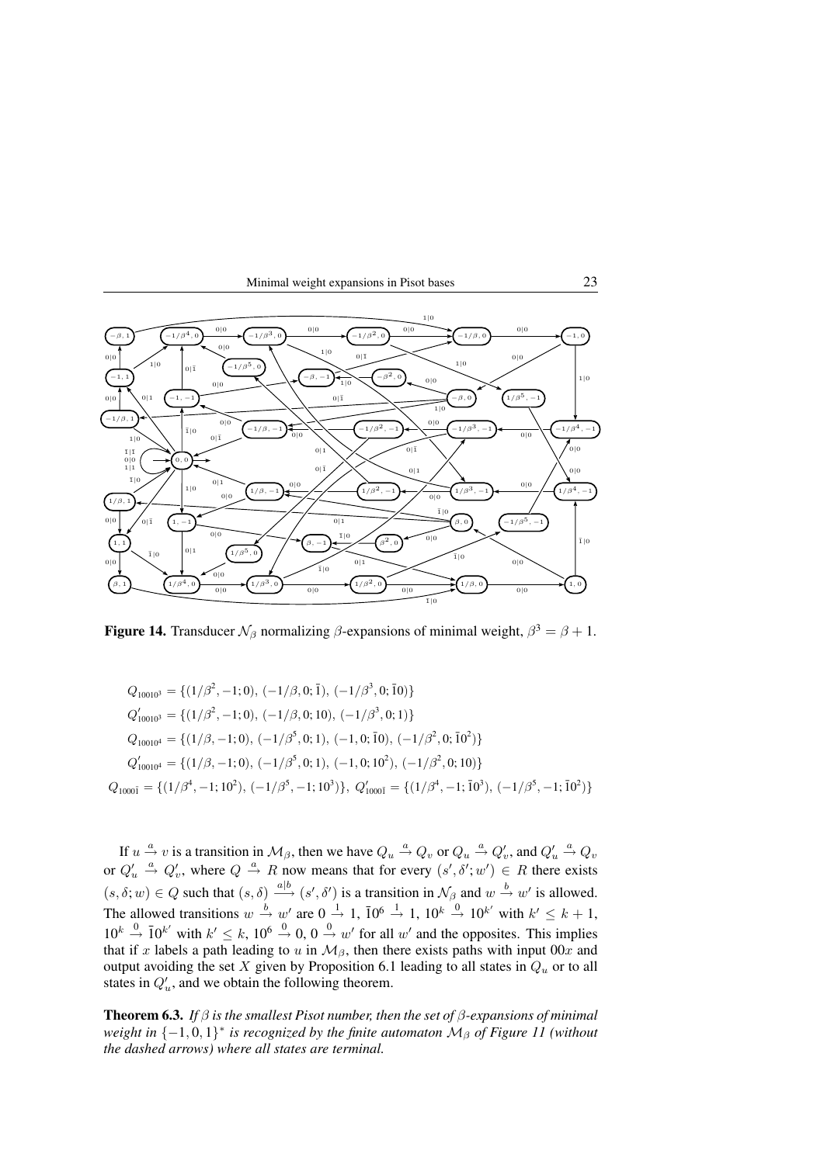



**Figure 14.** Transducer  $\mathcal{N}_{\beta}$  normalizing  $\beta$ -expansions of minimal weight,  $\beta^3 = \beta + 1$ .

$$
Q_{10010^3} = \{ (1/\beta^2, -1; 0), (-1/\beta, 0; \bar{1}), (-1/\beta^3, 0; \bar{1}0) \}
$$
  
\n
$$
Q'_{10010^3} = \{ (1/\beta^2, -1; 0), (-1/\beta, 0; 10), (-1/\beta^3, 0; 1) \}
$$
  
\n
$$
Q_{10010^4} = \{ (1/\beta, -1; 0), (-1/\beta^5, 0; 1), (-1, 0; \bar{1}0), (-1/\beta^2, 0; \bar{1}0^2) \}
$$
  
\n
$$
Q'_{10010^4} = \{ (1/\beta, -1; 0), (-1/\beta^5, 0; 1), (-1, 0; 10^2), (-1/\beta^2, 0; 10) \}
$$
  
\n
$$
Q_{1000\bar{1}} = \{ (1/\beta^4, -1; 10^2), (-1/\beta^5, -1; 10^3) \}, Q'_{1000\bar{1}} = \{ (1/\beta^4, -1; \bar{1}0^3), (-1/\beta^5, -1; \bar{1}0^2) \}
$$

If  $u \stackrel{a}{\to} v$  is a transition in  $\mathcal{M}_{\beta}$ , then we have  $Q_u \stackrel{a}{\to} Q_v$  or  $Q_u \stackrel{a}{\to} Q'_v$ , and  $Q'_u \stackrel{a}{\to} Q_v$ or  $Q'_u \stackrel{a}{\rightarrow} Q'_v$ , where  $Q \stackrel{a}{\rightarrow} R$  now means that for every  $(s', \delta'; w') \in R$  there exists  $(s, \delta; w) \in Q$  such that  $(s, \delta) \stackrel{a|b}{\longrightarrow} (s', \delta')$  is a transition in  $\mathcal{N}_{\beta}$  and  $w \stackrel{b}{\rightarrow} w'$  is allowed. The allowed transitions  $w \stackrel{b}{\rightarrow} w'$  are  $0 \stackrel{1}{\rightarrow} 1$ ,  $\overline{10^6} \stackrel{1}{\rightarrow} 1$ ,  $10^k \stackrel{0}{\rightarrow} 10^{k'}$  with  $k' \leq k+1$ ,  $10^k \stackrel{0}{\rightarrow} 10^{k'}$  with  $k' \leq k$ ,  $10^6 \stackrel{0}{\rightarrow} 0$ ,  $0 \stackrel{0}{\rightarrow} w'$  for all w' and the opposites. This implies that if x labels a path leading to u in  $M_{\beta}$ , then there exists paths with input 00x and output avoiding the set X given by Proposition 6.1 leading to all states in  $Q_u$  or to all states in  $Q'_u$ , and we obtain the following theorem.

Theorem 6.3. *If* β *is the smallest Pisot number, then the set of* β*-expansions of minimal weight in* {−1,0,1}<sup>\*</sup> *is recognized by the finite automaton*  $M<sub>β</sub>$  *of Figure 11* (*without the dashed arrows) where all states are terminal.*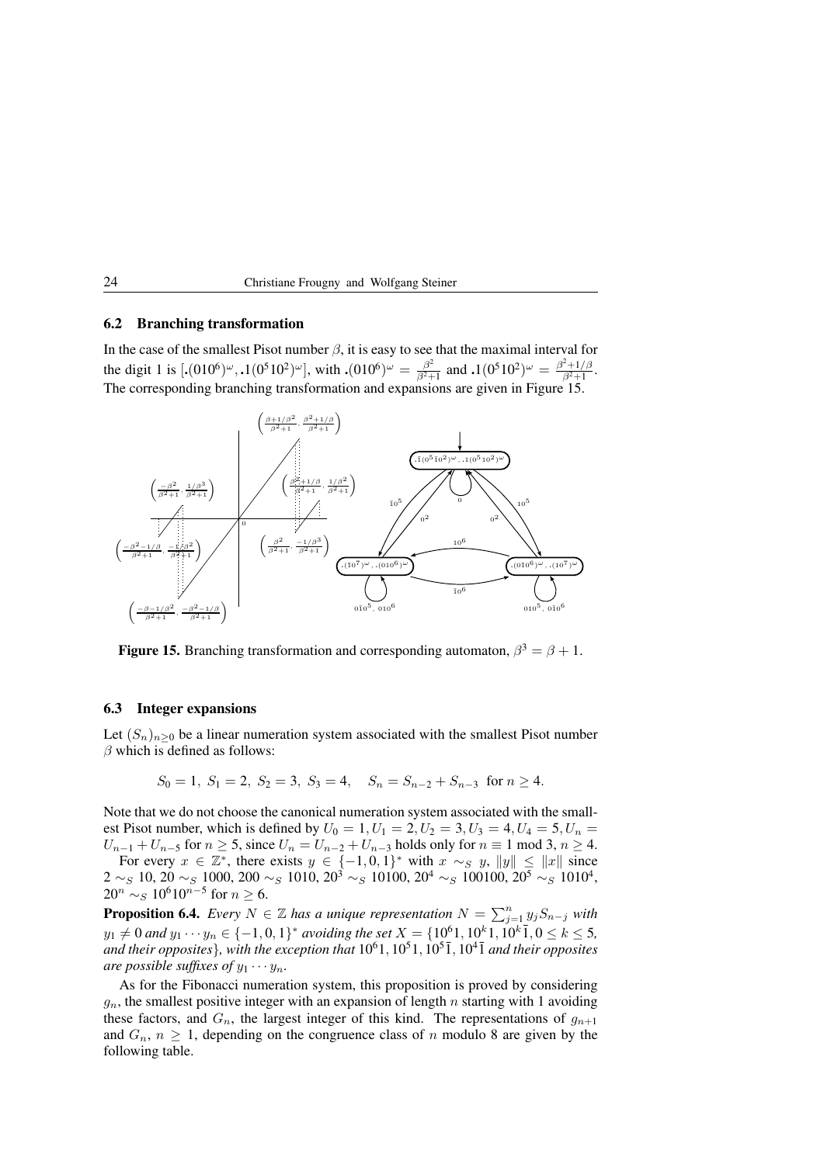# 6.2 Branching transformation

In the case of the smallest Pisot number  $\beta$ , it is easy to see that the maximal interval for the digit 1 is  $[.(010^6)^\omega, .1(0^510^2)^\omega]$ , with  $.(010^6)^\omega = \frac{\beta^2}{\beta^2}$  $\frac{\beta^2}{\beta^2+1}$  and  $\boldsymbol{.}1(0^510^2)^\omega = \frac{\beta^2+1/\beta}{\beta^2+1}$  $\frac{+1/\rho}{\beta^2+1}$ . The corresponding branching transformation and expansions are given in Figure 15.



**Figure 15.** Branching transformation and corresponding automaton,  $\beta^3 = \beta + 1$ .

### 6.3 Integer expansions

Let  $(S_n)_{n\geq 0}$  be a linear numeration system associated with the smallest Pisot number  $\beta$  which is defined as follows:

$$
S_0 = 1
$$
,  $S_1 = 2$ ,  $S_2 = 3$ ,  $S_3 = 4$ ,  $S_n = S_{n-2} + S_{n-3}$  for  $n \ge 4$ .

Note that we do not choose the canonical numeration system associated with the smallest Pisot number, which is defined by  $U_0 = 1, U_1 = 2, U_2 = 3, U_3 = 4, U_4 = 5, U_n = 1$  $U_{n-1} + U_{n-5}$  for  $n \ge 5$ , since  $U_n = U_{n-2} + U_{n-3}$  holds only for  $n \equiv 1 \mod 3$ ,  $n \ge 4$ .

For every  $x \in \mathbb{Z}^*$ , there exists  $y \in \{-1,0,1\}^*$  with  $x \sim_S y$ ,  $||y|| \leq ||x||$  since  $2\sim_S 10$ ,  $20\sim_S 1000$ ,  $200\sim_S 1010$ ,  $20^3\sim_S 10100$ ,  $20^4\sim_S 100100$ ,  $20^5\sim_S 1010^4$ ,  $20^n \sim_S 10^6 10^{n-5}$  for  $n \ge 6$ .

**Proposition 6.4.** *Every*  $N \in \mathbb{Z}$  has a unique representation  $N = \sum_{j=1}^{n} y_j S_{n-j}$  with  $y_1 \neq 0$  and  $y_1 \cdots y_n \in \{-1,0,1\}^*$  avoiding the set  $X = \{10^61, 10^k1, 10^k1, 0 \leq k \leq 5,$ and their opposites<sup>}</sup>, with the exception that  $10^61, 10^51, 10^5$ <sup> $\overline{1}$ </sup>,  $10^4$  $\overline{1}$  and their opposites *are possible suffixes of*  $y_1 \cdots y_n$ *.* 

As for the Fibonacci numeration system, this proposition is proved by considering  $g_n$ , the smallest positive integer with an expansion of length n starting with 1 avoiding these factors, and  $G_n$ , the largest integer of this kind. The representations of  $g_{n+1}$ and  $G_n$ ,  $n \geq 1$ , depending on the congruence class of n modulo 8 are given by the following table.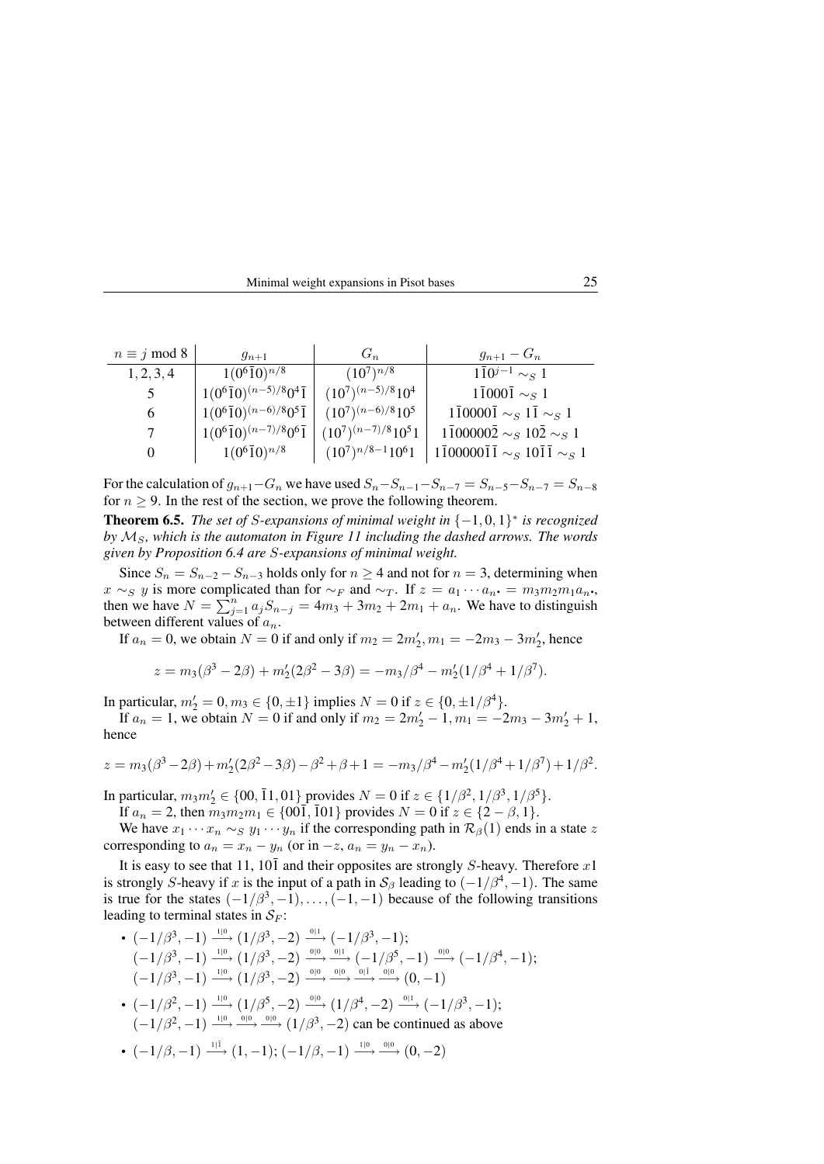| Minimal weight expansions in Pisot bases | 25 |
|------------------------------------------|----|
|------------------------------------------|----|

| $n \equiv j \mod 8$ | $g_{n+1}$                                      | $G_n$                   | $g_{n+1} - G_n$                                                 |
|---------------------|------------------------------------------------|-------------------------|-----------------------------------------------------------------|
| 1, 2, 3, 4          | $1(0^6\overline{1}0)^{n/8}$                    | $(10^7)^{n/8}$          | $1\bar{1}0^{j-1} \sim_S 1$                                      |
|                     | $1(0^6\overline{1}0)^{(n-5)/8}0^4\overline{1}$ | $(10^7)^{(n-5)/8}10^4$  | $1\bar{1}000\bar{1} \sim_S 1$                                   |
| 6                   | $1(0^6\overline{1}0)^{(n-6)/8}0^5\overline{1}$ | $(10^7)^{(n-6)/8}10^5$  | $1\overline{1}0000\overline{1} \sim_S 1\overline{1} \sim_S 1$   |
| 7                   | $1(0^6\overline{1}0)^{(n-7)/8}0^6\overline{1}$ | $(10^7)^{(n-7)/8}10^51$ | $1\overline{1}00000\overline{2} \sim_S 10\overline{2} \sim_S 1$ |
| $\theta$            | $1(0^6\overline{1}0)^{n/8}$                    | $(10^7)^{n/8-1}10^61$   | $1\bar{1}00000\bar{1}\bar{1} \sim_S 10\bar{1}\bar{1} \sim_S 1$  |

For the calculation of  $g_{n+1}-G_n$  we have used  $S_n-S_{n-1}-S_{n-7}=S_{n-5}-S_{n-7}=S_{n-8}$ for  $n \geq 9$ . In the rest of the section, we prove the following theorem.

**Theorem 6.5.** *The set of S-expansions of minimal weight in*  $\{-1,0,1\}^*$  *is recognized by*  $M_s$ , which is the automaton in Figure 11 including the dashed arrows. The words *given by Proposition 6.4 are* S*-expansions of minimal weight.*

Since  $S_n = S_{n-2} - S_{n-3}$  holds only for  $n \ge 4$  and not for  $n = 3$ , determining when  $x \sim_S y$  is more complicated than for  $\sim_F$  and  $\sim_T$ . If  $z = a_1 \cdots a_n$ . =  $m_3 m_2 m_1 a_n$ . then we have  $N = \sum_{j=1}^{n} a_j S_{n-j} = 4m_3 + 3m_2 + 2m_1 + a_n$ . We have to distinguish between different values of  $a_n$ .

If  $a_n = 0$ , we obtain  $N = 0$  if and only if  $m_2 = 2m'_2, m_1 = -2m_3 - 3m'_2$ , hence

$$
z = m_3(\beta^3 - 2\beta) + m_2'(2\beta^2 - 3\beta) = -m_3(\beta^4 - m_2'(1/\beta^4 + 1/\beta^7)).
$$

In particular,  $m_2' = 0, m_3 \in \{0, \pm 1\}$  implies  $N = 0$  if  $z \in \{0, \pm 1/\beta^4\}$ .

If  $a_n = 1$ , we obtain  $N = 0$  if and only if  $m_2 = 2m'_2 - 1$ ,  $m_1 = -2m_3 - 3m'_2 + 1$ , hence

$$
z = m_3(\beta^3 - 2\beta) + m_2'(2\beta^2 - 3\beta) - \beta^2 + \beta + 1 = -m_3(\beta^4 - m_2'(1/\beta^4 + 1/\beta^7) + 1/\beta^2.
$$

In particular,  $m_3 m_2' \in \{00, \overline{1}1, 01\}$  provides  $N = 0$  if  $z \in \{1/\beta^2, 1/\beta^3, 1/\beta^5\}$ .

If  $a_n = 2$ , then  $m_3m_2m_1 \in \{00\overline{1}, 101\}$  provides  $N = 0$  if  $z \in \{2 - \beta, 1\}$ .

We have  $x_1 \cdots x_n \sim_S y_1 \cdots y_n$  if the corresponding path in  $\mathcal{R}_{\beta}(1)$  ends in a state z corresponding to  $a_n = x_n - y_n$  (or in  $-z$ ,  $a_n = y_n - x_n$ ).

It is easy to see that 11, 10 $\overline{1}$  and their opposites are strongly S-heavy. Therefore x1 is strongly S-heavy if x is the input of a path in  $S_\beta$  leading to  $(-1/\beta^4, -1)$ . The same is true for the states  $(-1/\beta^3, -1), \ldots, (-1, -1)$  because of the following transitions leading to terminal states in  $S_F$ :

•  $(-1/\beta^3, -1) \stackrel{1|0}{\longrightarrow} (1/\beta^3, -2) \stackrel{0|1}{\longrightarrow} (-1/\beta^3, -1);$  $\left(-1/\beta^3,-1\right)\stackrel{1|0}{\longrightarrow}\left(1/\beta^3,-2\right)\stackrel{0|0}{\longrightarrow}\stackrel{0|1}{\longrightarrow}\left(-1/\beta^5,-1\right)\stackrel{0|0}{\longrightarrow}\left(-1/\beta^4,-1\right);$  $(-1/\beta^3, -1) \xrightarrow{10} (1/\beta^3, -2) \xrightarrow{0} \xrightarrow{0} \xrightarrow{0} \xrightarrow{0} (0, -1)$ •  $(-1/\beta^2, -1)$   $\stackrel{1|0}{\longrightarrow} (1/\beta^5, -2)$   $\stackrel{0|0}{\longrightarrow} (1/\beta^4, -2)$   $\stackrel{0|1}{\longrightarrow} (-1/\beta^3, -1);$  $(-1/\beta^2, -1) \stackrel{1|0}{\longrightarrow} \stackrel{0|0}{\longrightarrow} \stackrel{0|0}{\longrightarrow} (1/\beta^3, -2)$  can be continued as above •  $(-1/\beta, -1) \stackrel{1|\bar{1}}{\longrightarrow} (1, -1); (-1/\beta, -1) \stackrel{1|0}{\longrightarrow} (0, -2)$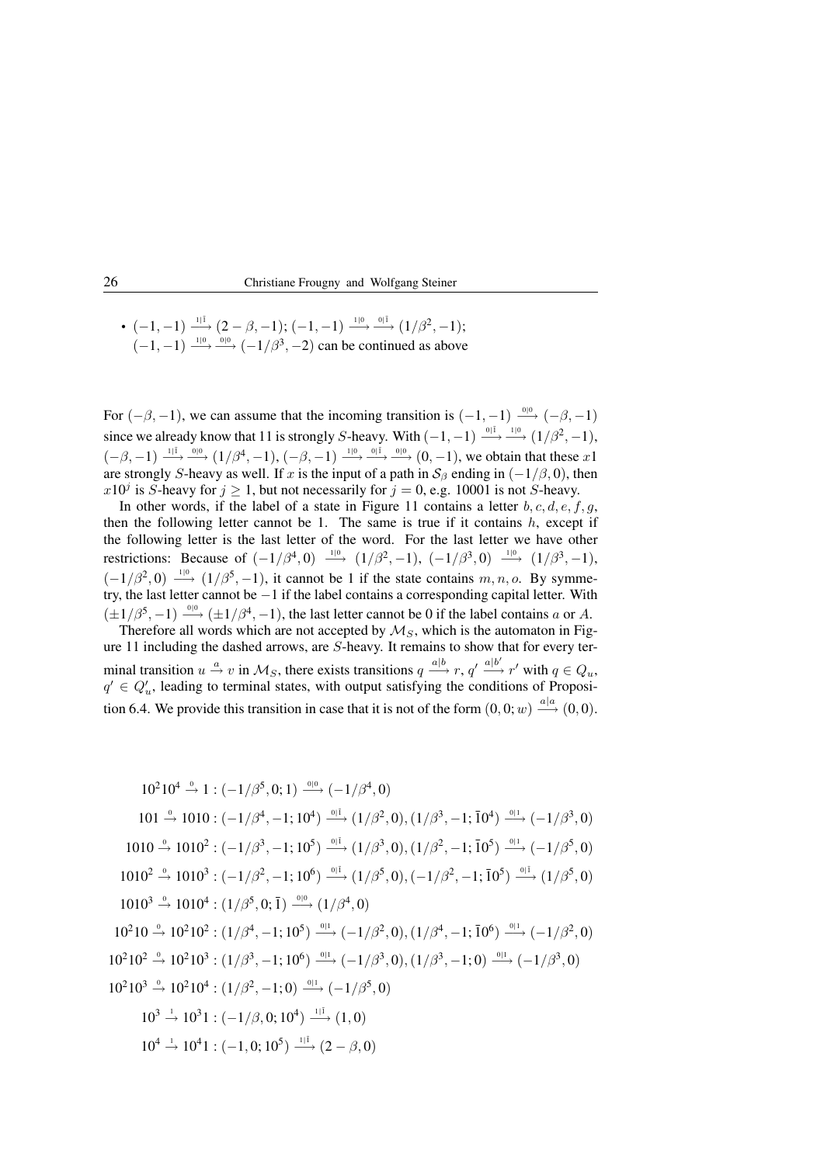• 
$$
(-1,-1) \xrightarrow{1 \mid 1}
$$
  $(2-\beta,-1)$ ;  $(-1,-1) \xrightarrow{1 \mid 0}$   $\xrightarrow{0 \mid 1}$   $(1/\beta^2,-1)$ ;  
 $(-1,-1) \xrightarrow{1 \mid 0}$   $\xrightarrow{0 \mid 0}$   $(-1/\beta^3,-2)$  can be continued as above

For  $(-\beta, -1)$ , we can assume that the incoming transition is  $(-1, -1) \xrightarrow{0} (-\beta, -1)$ since we already know that 11 is strongly S-heavy. With  $(-1, -1) \stackrel{0|1}{\longrightarrow} (1/\beta^2, -1)$ ,  $(-\beta, -1) \stackrel{1|\bar{1}}{\longrightarrow} \frac{0|0}{\longrightarrow} (1/\beta^4, -1), (-\beta, -1) \stackrel{1|0}{\longrightarrow} \frac{0|\bar{1}-0|}{\longrightarrow} (0, -1),$  we obtain that these x1 are strongly S-heavy as well. If x is the input of a path in  $S_\beta$  ending in  $(-1/\beta, 0)$ , then  $x10^j$  is S-heavy for  $j \ge 1$ , but not necessarily for  $j = 0$ , e.g. 10001 is not S-heavy.

In other words, if the label of a state in Figure 11 contains a letter  $b, c, d, e, f, g$ , then the following letter cannot be 1. The same is true if it contains  $h$ , except if the following letter is the last letter of the word. For the last letter we have other restrictions: Because of  $(-1/\beta^4, 0) \stackrel{10}{\longrightarrow} (1/\beta^2, -1), (-1/\beta^3, 0) \stackrel{10}{\longrightarrow} (1/\beta^3, -1),$  $(-1/\beta^2, 0) \stackrel{1|0}{\longrightarrow} (1/\beta^5, -1)$ , it cannot be 1 if the state contains m, n, o. By symmetry, the last letter cannot be −1 if the label contains a corresponding capital letter. With  $(\pm 1/\beta^5, -1) \stackrel{0|0}{\longrightarrow} (\pm 1/\beta^4, -1)$ , the last letter cannot be 0 if the label contains a or A.

Therefore all words which are not accepted by  $\mathcal{M}_S$ , which is the automaton in Figure 11 including the dashed arrows, are S-heavy. It remains to show that for every terminal transition  $u \stackrel{a}{\rightarrow} v$  in  $\mathcal{M}_S$ , there exists transitions  $q \stackrel{a|b}{\rightarrow} r$ ,  $q' \stackrel{a|b'}{\rightarrow} r'$  with  $q \in Q_u$ ,  $q' \in Q'_u$ , leading to terminal states, with output satisfying the conditions of Proposition 6.4. We provide this transition in case that it is not of the form  $(0,0; w) \stackrel{a|a}{\longrightarrow} (0,0)$ .

$$
10^2 10^4 \xrightarrow{\circ} 1: (-1/\beta^5, 0; 1) \xrightarrow{\circ} (-1/\beta^4, 0)
$$
  
\n
$$
101 \xrightarrow{\circ} 1010: (-1/\beta^4, -1; 10^4) \xrightarrow{\circ} (1/\beta^2, 0), (1/\beta^3, -1; \bar{10}^4) \xrightarrow{\circ} (-1/\beta^3, 0)
$$
  
\n
$$
1010 \xrightarrow{\circ} 1010^2: (-1/\beta^3, -1; 10^5) \xrightarrow{\circ} (1/\beta^3, 0), (1/\beta^2, -1; \bar{10}^5) \xrightarrow{\circ} (-1/\beta^5, 0)
$$
  
\n
$$
1010^2 \xrightarrow{\circ} 1010^3: (-1/\beta^2, -1; 10^6) \xrightarrow{\circ} (1/\beta^5, 0), (-1/\beta^2, -1; \bar{10}^5) \xrightarrow{\circ} (1/\beta^5, 0)
$$
  
\n
$$
1010^3 \xrightarrow{\circ} 1010^4: (1/\beta^5, 0; \bar{1}) \xrightarrow{\circ} (1/\beta^4, 0)
$$
  
\n
$$
10^2 10 \xrightarrow{\circ} 10^2 10^2: (1/\beta^4, -1; 10^5) \xrightarrow{\circ} (-1/\beta^2, 0), (1/\beta^4, -1; \bar{10}^6) \xrightarrow{\circ} (-1/\beta^2, 0)
$$
  
\n
$$
10^2 10^2 \xrightarrow{\circ} 10^2 10^3: (1/\beta^3, -1; 10^6) \xrightarrow{\circ} (-1/\beta^3, 0), (1/\beta^3, -1; 0) \xrightarrow{\circ} (-1/\beta^3, 0)
$$
  
\n
$$
10^2 10^3 \xrightarrow{\circ} 10^2 10^4: (1/\beta^2, -1; 0) \xrightarrow{\circ} (-1/\beta^5, 0)
$$
  
\n
$$
10^3 \xrightarrow{\circ} 10^3 1: (-1/\beta, 0; 10^4) \xrightarrow{\text{1} \bar{1}} (1, 0)
$$
  
\n
$$
10^4 \xrightarrow{\text{1} \bar{1}} 10^4 1
$$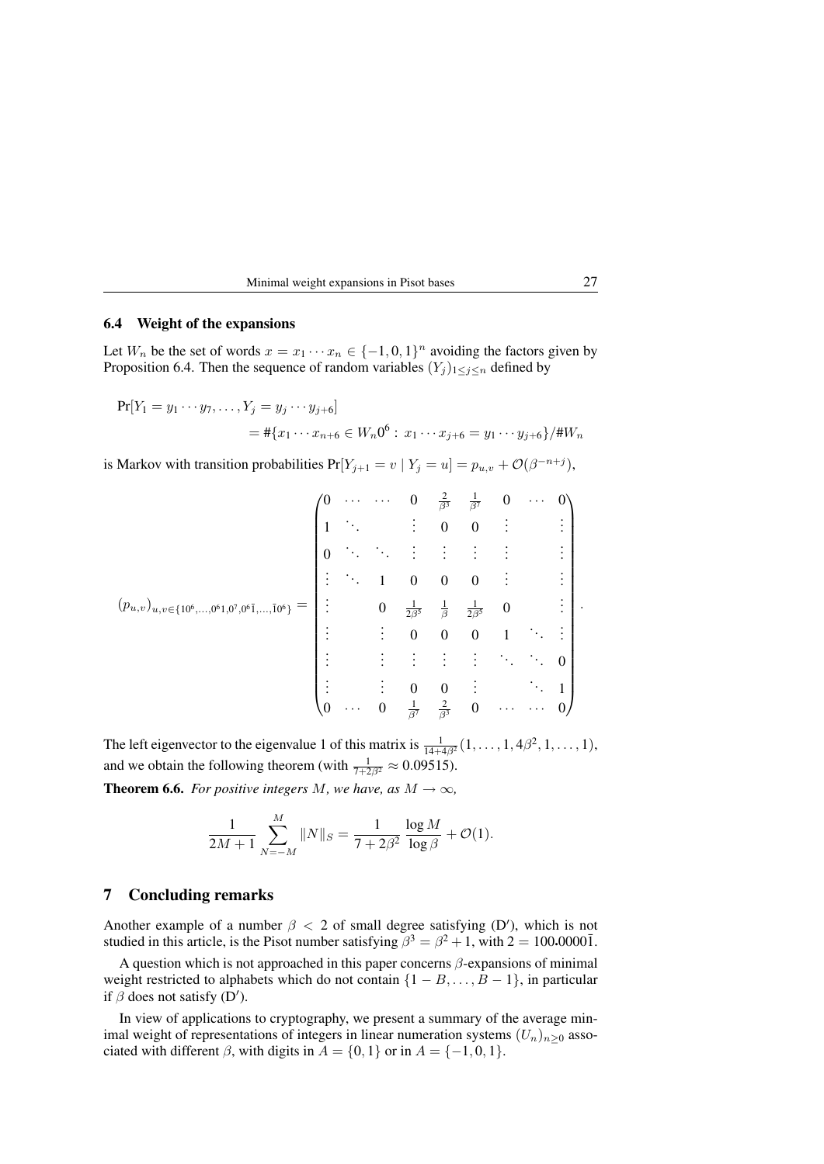| Minimal weight expansions in Pisot bases |  |
|------------------------------------------|--|
|------------------------------------------|--|

### 6.4 Weight of the expansions

Let  $W_n$  be the set of words  $x = x_1 \cdots x_n \in \{-1,0,1\}^n$  avoiding the factors given by Proposition 6.4. Then the sequence of random variables  $(Y_j)_{1 \leq j \leq n}$  defined by

 $Pr[Y_1 = y_1 \cdots y_7, \ldots, Y_i = y_i \cdots y_{i+6}]$  $=$  #{ $x_1 \cdots x_{n+6} \in W_n 0^6 : x_1 \cdots x_{j+6} = y_1 \cdots y_{j+6}$ }/# $W_n$ 

is Markov with transition probabilities  $Pr[Y_{j+1} = v \mid Y_j = u] = p_{u,v} + \mathcal{O}(\beta^{-n+j}),$ 

$$
(p_{u,v})_{u,v \in \{10^6,\dots,0^61,0^7,0^6\bar{1},\dots,\bar{10}^6\}} = \begin{pmatrix} 0 & \cdots & 0 & \frac{2}{\beta^3} & \frac{1}{\beta^7} & 0 & \cdots & 0 \\ 1 & \ddots & \vdots & 0 & 0 & \vdots & \vdots \\ 0 & \ddots & \ddots & \vdots & \vdots & \vdots & \vdots & \vdots \\ \vdots & \ddots & 1 & 0 & 0 & 0 & \vdots & \vdots \\ \vdots & \ddots & 1 & 0 & 0 & 0 & 1 & \ddots & \vdots \\ \vdots & \vdots & \vdots & \vdots & \vdots & \ddots & \ddots & 0 \\ \vdots & \vdots & \vdots & \vdots & \vdots & \ddots & \ddots & 0 \\ \vdots & \vdots & 0 & 0 & \vdots & \ddots & 1 \\ 0 & \cdots & 0 & \frac{1}{\beta^7} & \frac{2}{\beta^3} & 0 & \cdots & \cdots & 0 \end{pmatrix}.
$$

The left eigenvector to the eigenvalue 1 of this matrix is  $\frac{1}{14+4\beta^2}(1,\ldots,1,4\beta^2,1,\ldots,1)$ , and we obtain the following theorem (with  $\frac{1}{7+2\beta^2} \approx 0.09515$ ).

**Theorem 6.6.** *For positive integers M*, we have, as  $M \to \infty$ ,

$$
\frac{1}{2M+1} \sum_{N=-M}^{M} ||N||_S = \frac{1}{7+2\beta^2} \frac{\log M}{\log \beta} + \mathcal{O}(1).
$$

### 7 Concluding remarks

Another example of a number  $\beta$  < 2 of small degree satisfying (D'), which is not studied in this article, is the Pisot number satisfying  $\beta^3 = \beta^2 + 1$ , with  $2 = 100.0000\overline{1}$ .

A question which is not approached in this paper concerns  $\beta$ -expansions of minimal weight restricted to alphabets which do not contain  $\{1 - B, \ldots, B - 1\}$ , in particular if  $\beta$  does not satisfy (D').

In view of applications to cryptography, we present a summary of the average minimal weight of representations of integers in linear numeration systems  $(U_n)_{n>0}$  associated with different  $\beta$ , with digits in  $A = \{0, 1\}$  or in  $A = \{-1, 0, 1\}$ .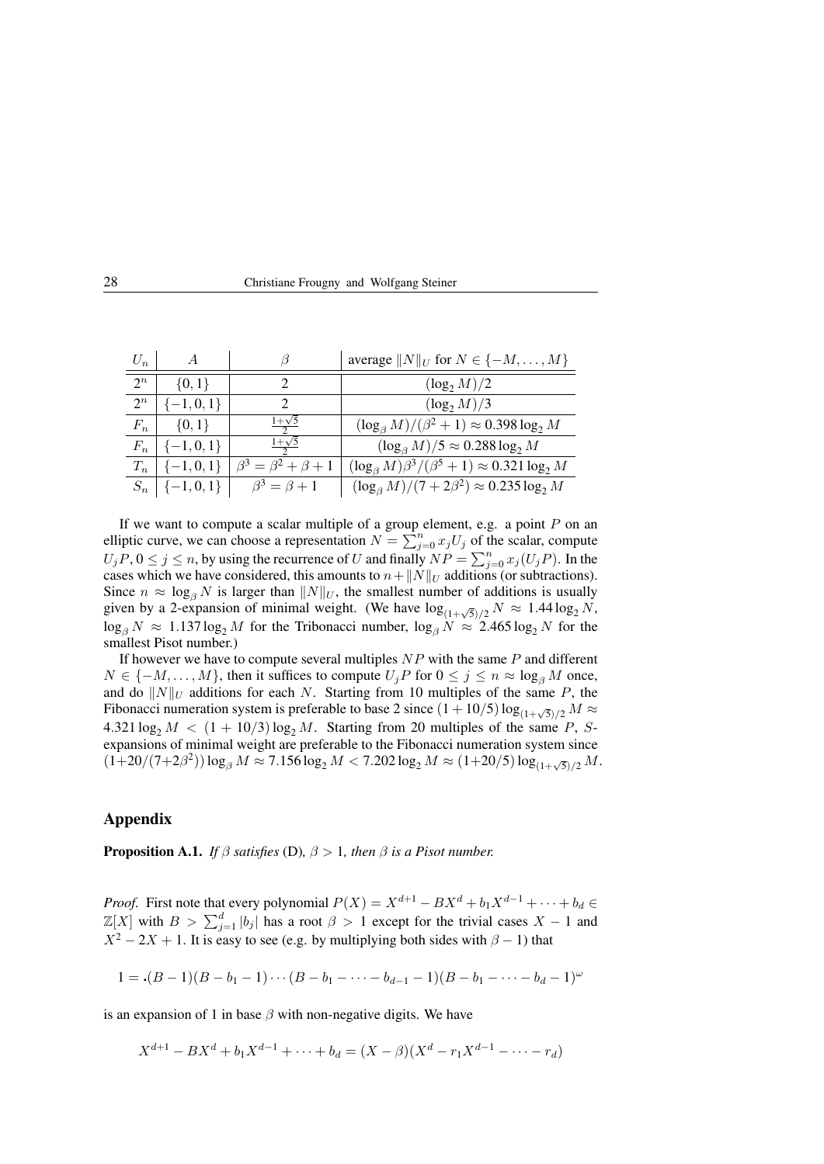| 28<br>Christiane Frougny and Wolfgang Steiner |  |
|-----------------------------------------------|--|
|-----------------------------------------------|--|

| $U_n$ | $\overline{A}$   | В                                                         | average $  N  _U$ for $N \in \{-M, \ldots, M\}$                |
|-------|------------------|-----------------------------------------------------------|----------------------------------------------------------------|
| $2^n$ | $\{0, 1\}$       |                                                           | $(\log_2 M)/2$                                                 |
| $2^n$ | $[-1, 0, 1]$     | ႒                                                         | $(\log_2 M)/3$                                                 |
| $F_n$ | $\{0, 1\}$       | $1+\sqrt{5}$                                              | $(\log_{\beta} M)/({\beta}^2+1) \approx 0.398 \log_2 M$        |
| $F_n$ | $\{-1,0,1\}$     | $1+\sqrt{5}$                                              | $(\log_\beta M)/5 \approx 0.288 \log_2 M$                      |
| $T_n$ |                  | $\left[ \{-1,0,1\} \right] \beta^3 = \beta^2 + \beta + 1$ | $(\log_{\beta} M)\beta^3/(\beta^5 + 1) \approx 0.321 \log_2 M$ |
|       | $S_n$   {-1,0,1} | $\beta^3 = \beta + 1$                                     | $(\log_{\beta} M)/(7 + 2\beta^2) \approx 0.235 \log_2 M$       |

If we want to compute a scalar multiple of a group element, e.g. a point  $P$  on an elliptic curve, we can choose a representation  $N = \sum_{j=0}^{n} x_j U_j$  of the scalar, compute  $U_jP$ ,  $0 \le j \le n$ , by using the recurrence of U and finally  $NP = \sum_{j=0}^n x_j (U_jP)$ . In the cases which we have considered, this amounts to  $n+\|N\|_U$  additions (or subtractions). Since  $n \approx \log_{\beta} N$  is larger than  $||N||_U$ , the smallest number of additions is usually given by a 2-expansion of minimal weight. (We have  $\log_{(1+\sqrt{5})/2} N \approx 1.44 \log_2 N$ ,  $\log_\beta N \approx 1.137 \log_2 M$  for the Tribonacci number,  $\log_\beta N \approx 2.465 \log_2 N$  for the smallest Pisot number.)

If however we have to compute several multiples  $NP$  with the same  $P$  and different  $N \in \{-M, \ldots, M\}$ , then it suffices to compute  $U_jP$  for  $0 \le j \le n \approx \log_\beta M$  once, and do  $||N||_U$  additions for each N. Starting from 10 multiples of the same P, the Fibonacci numeration system is preferable to base 2 since  $(1+10/5)\log_{(1+\sqrt{5})/2}M \approx$  $4.321 \log_2 M < (1 + 10/3) \log_2 M$ . Starting from 20 multiples of the same P, Sexpansions of minimal weight are preferable to the Fibonacci numeration system since  $(1+20/(7+2\beta^2))\log_\beta M \approx 7.156\log_2 M < 7.202\log_2 M \approx (1+20/5)\log_{(1+\sqrt{5})/2} M.$ 

#### Appendix

**Proposition A.1.** *If*  $\beta$  *satisfies* (D),  $\beta > 1$ *, then*  $\beta$  *is a Pisot number.* 

*Proof.* First note that every polynomial  $P(X) = X^{d+1} - BX^d + b_1X^{d-1} + \cdots + b_d \in$  $\mathbb{Z}[X]$  with  $B > \sum_{j=1}^d |b_j|$  has a root  $\beta > 1$  except for the trivial cases  $X - 1$  and  $X^2 - 2X + 1$ . It is easy to see (e.g. by multiplying both sides with  $\beta - 1$ ) that

$$
1 = \cdot (B-1)(B-b_1-1)\cdots (B-b_1-\cdots-b_{d-1}-1)(B-b_1-\cdots-b_d-1)^{\omega}
$$

is an expansion of 1 in base  $\beta$  with non-negative digits. We have

$$
X^{d+1} - BX^d + b_1 X^{d-1} + \dots + b_d = (X - \beta)(X^d - r_1 X^{d-1} - \dots - r_d)
$$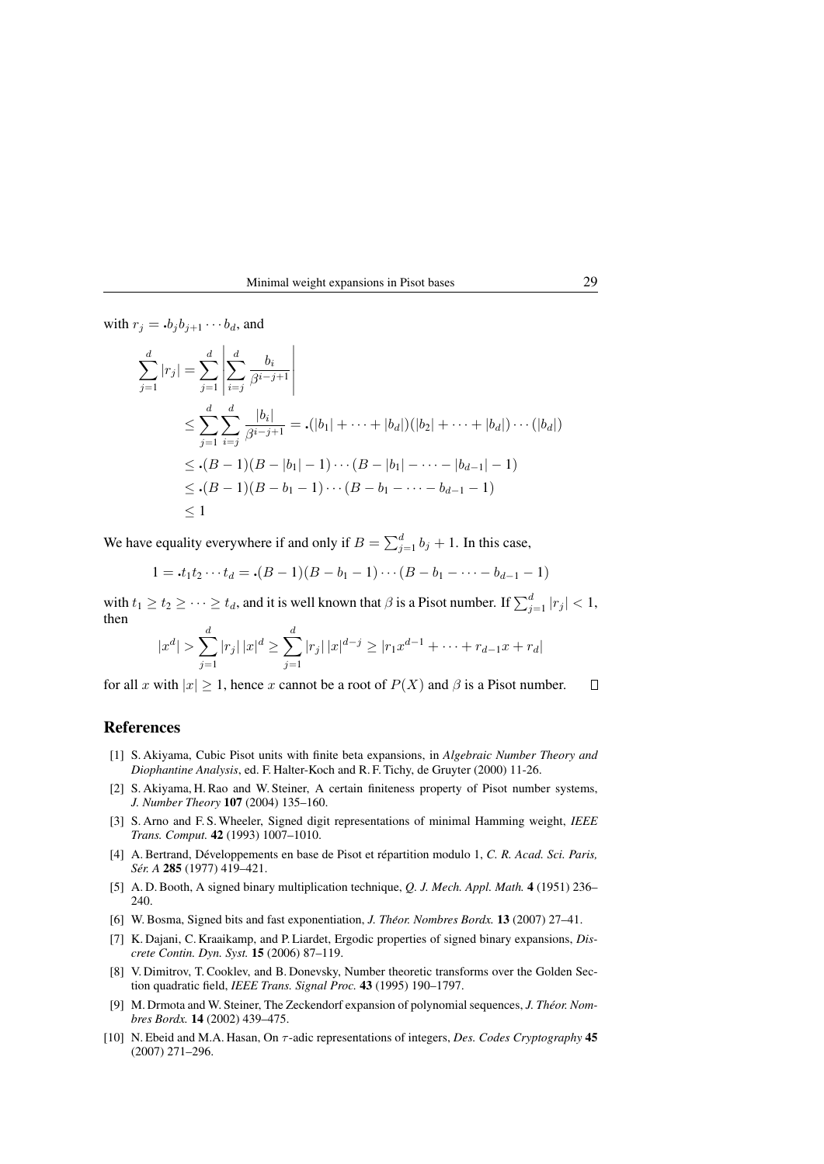Minimal weight expansions in Pisot bases 29

with  $r_i = .b_i b_{i+1} \cdots b_d$ , and

$$
\sum_{j=1}^{d} |r_j| = \sum_{j=1}^{d} \left| \sum_{i=j}^{d} \frac{b_i}{\beta^{i-j+1}} \right|
$$
\n
$$
\leq \sum_{j=1}^{d} \sum_{i=j}^{d} \frac{|b_i|}{\beta^{i-j+1}} = \left( |b_1| + \dots + |b_d| \right) \left( |b_2| + \dots + |b_d| \right) \dots \left( |b_d| \right)
$$
\n
$$
\leq \left( |B_1| \right) \left( |B_2| + \dots + |b_d| \right) \dots \left( |b_d| \right)
$$
\n
$$
\leq (|B_1|) \left( |B_2| + \dots + |b_d| \right) \dots \left( |B_{d-1}| - 1 \right)
$$
\n
$$
\leq (|B_1|) \left( |B_2| + \dots + |B_{d-1}| - 1 \right)
$$
\n
$$
\leq 1
$$

We have equality everywhere if and only if  $B = \sum_{j=1}^{d} b_j + 1$ . In this case,

$$
1 = \cdot t_1 t_2 \cdots t_d = \cdot (B-1)(B-b_1-1)\cdots (B-b_1-\cdots-b_{d-1}-1)
$$

with  $t_1 \ge t_2 \ge \cdots \ge t_d$ , and it is well known that  $\beta$  is a Pisot number. If  $\sum_{j=1}^d |r_j| < 1$ , then

$$
|x^{d}| > \sum_{j=1}^{d} |r_{j}| |x|^{d} \ge \sum_{j=1}^{d} |r_{j}| |x|^{d-j} \ge |r_{1}x^{d-1} + \dots + r_{d-1}x + r_{d}|
$$

for all x with  $|x| \ge 1$ , hence x cannot be a root of  $P(X)$  and  $\beta$  is a Pisot number.  $\Box$ 

# References

- [1] S. Akiyama, Cubic Pisot units with finite beta expansions, in *Algebraic Number Theory and Diophantine Analysis*, ed. F. Halter-Koch and R. F. Tichy, de Gruyter (2000) 11-26.
- [2] S. Akiyama, H. Rao and W. Steiner, A certain finiteness property of Pisot number systems, *J. Number Theory* 107 (2004) 135–160.
- [3] S. Arno and F. S. Wheeler, Signed digit representations of minimal Hamming weight, *IEEE Trans. Comput.* 42 (1993) 1007–1010.
- [4] A. Bertrand, Développements en base de Pisot et répartition modulo 1, C. R. Acad. Sci. Paris, *Ser. A ´* 285 (1977) 419–421.
- [5] A. D. Booth, A signed binary multiplication technique, *Q. J. Mech. Appl. Math.* 4 (1951) 236– 240.
- [6] W. Bosma, Signed bits and fast exponentiation, *J. Theor. Nombres Bordx. ´* 13 (2007) 27–41.
- [7] K. Dajani, C. Kraaikamp, and P. Liardet, Ergodic properties of signed binary expansions, *Discrete Contin. Dyn. Syst.* 15 (2006) 87–119.
- [8] V. Dimitrov, T. Cooklev, and B. Donevsky, Number theoretic transforms over the Golden Section quadratic field, *IEEE Trans. Signal Proc.* 43 (1995) 190–1797.
- [9] M. Drmota and W. Steiner, The Zeckendorf expansion of polynomial sequences, *J. Theor. Nom- ´ bres Bordx.* 14 (2002) 439–475.
- [10] N. Ebeid and M.A. Hasan, On τ -adic representations of integers, *Des. Codes Cryptography* 45 (2007) 271–296.